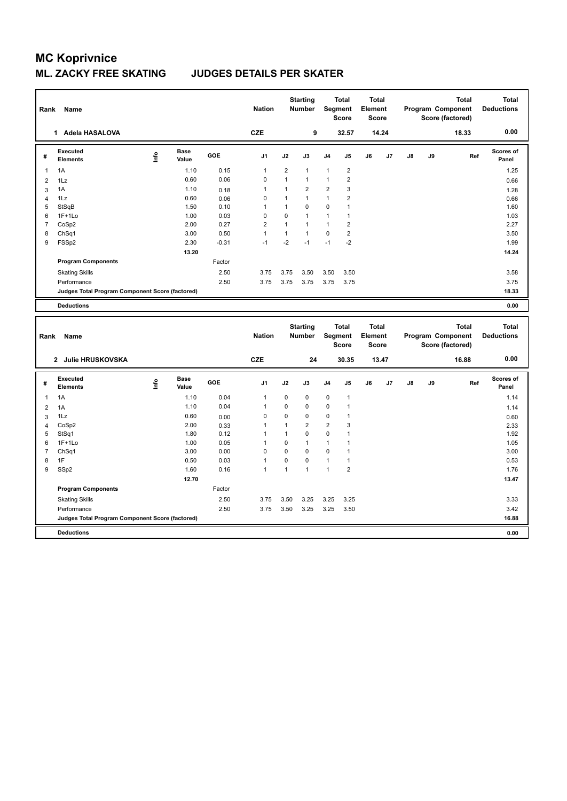| Rank           | Name                                            |    |                      |         | <b>Nation</b>  |                | <b>Starting</b><br><b>Number</b> |                | <b>Total</b><br>Segment<br><b>Score</b> | <b>Total</b><br>Element<br><b>Score</b> |       |    |    | <b>Total</b><br>Program Component<br>Score (factored) | <b>Total</b><br><b>Deductions</b> |
|----------------|-------------------------------------------------|----|----------------------|---------|----------------|----------------|----------------------------------|----------------|-----------------------------------------|-----------------------------------------|-------|----|----|-------------------------------------------------------|-----------------------------------|
|                | 1 Adela HASALOVA                                |    |                      |         | <b>CZE</b>     |                | 9                                |                | 32.57                                   |                                         | 14.24 |    |    | 18.33                                                 | 0.00                              |
| #              | <b>Executed</b><br><b>Elements</b>              | ۴ů | <b>Base</b><br>Value | GOE     | J1             | J2             | J3                               | J4             | J <sub>5</sub>                          | J6                                      | J7    | J8 | J9 | Ref                                                   | Scores of<br>Panel                |
| 1              | 1A                                              |    | 1.10                 | 0.15    | $\mathbf{1}$   | $\overline{2}$ | $\mathbf{1}$                     | $\mathbf{1}$   | $\overline{2}$                          |                                         |       |    |    |                                                       | 1.25                              |
| $\overline{2}$ | 1Lz                                             |    | 0.60                 | 0.06    | $\mathbf 0$    | $\mathbf{1}$   | $\overline{1}$                   | $\mathbf{1}$   | $\overline{2}$                          |                                         |       |    |    |                                                       | 0.66                              |
| 3              | 1A                                              |    | 1.10                 | 0.18    | $\mathbf{1}$   | $\mathbf{1}$   | $\overline{2}$                   | $\overline{2}$ | 3                                       |                                         |       |    |    |                                                       | 1.28                              |
| $\overline{4}$ | 1Lz                                             |    | 0.60                 | 0.06    | $\mathbf 0$    | $\mathbf{1}$   | 1                                | $\mathbf{1}$   | $\overline{2}$                          |                                         |       |    |    |                                                       | 0.66                              |
| 5              | StSqB                                           |    | 1.50                 | 0.10    | 1              | $\mathbf{1}$   | $\mathbf 0$                      | 0              | $\mathbf{1}$                            |                                         |       |    |    |                                                       | 1.60                              |
| 6              | $1F+1Lo$                                        |    | 1.00                 | 0.03    | $\mathbf 0$    | 0              | 1                                | $\mathbf{1}$   | $\mathbf{1}$                            |                                         |       |    |    |                                                       | 1.03                              |
| 7              | CoSp2                                           |    | 2.00                 | 0.27    | $\overline{2}$ | 1              | $\overline{1}$                   | $\mathbf{1}$   | $\overline{2}$                          |                                         |       |    |    |                                                       | 2.27                              |
| 8              | ChSq1                                           |    | 3.00                 | 0.50    | $\mathbf{1}$   | $\mathbf{1}$   | 1                                | $\mathbf 0$    | $\overline{\mathbf{c}}$                 |                                         |       |    |    |                                                       | 3.50                              |
| 9              | FSSp2                                           |    | 2.30                 | $-0.31$ | $-1$           | $-2$           | $-1$                             | $-1$           | $-2$                                    |                                         |       |    |    |                                                       | 1.99                              |
|                |                                                 |    | 13.20                |         |                |                |                                  |                |                                         |                                         |       |    |    |                                                       | 14.24                             |
|                | <b>Program Components</b>                       |    |                      | Factor  |                |                |                                  |                |                                         |                                         |       |    |    |                                                       |                                   |
|                | <b>Skating Skills</b>                           |    |                      | 2.50    | 3.75           | 3.75           | 3.50                             | 3.50           | 3.50                                    |                                         |       |    |    |                                                       | 3.58                              |
|                | Performance                                     |    |                      | 2.50    | 3.75           | 3.75           | 3.75                             | 3.75           | 3.75                                    |                                         |       |    |    |                                                       | 3.75                              |
|                | Judges Total Program Component Score (factored) |    |                      |         |                |                |                                  |                |                                         |                                         |       |    |    |                                                       | 18.33                             |
|                | <b>Deductions</b>                               |    |                      |         |                |                |                                  |                |                                         |                                         |       |    |    |                                                       | 0.00                              |
|                |                                                 |    |                      |         |                |                |                                  |                |                                         |                                         |       |    |    |                                                       |                                   |
|                |                                                 |    |                      |         |                |                | <b>Starting</b>                  |                | <b>Total</b>                            | <b>Total</b>                            |       |    |    | <b>Total</b>                                          | <b>Total</b>                      |
| Rank           | Name                                            |    |                      |         | <b>Nation</b>  |                | <b>Number</b>                    |                | Segment<br><b>Score</b>                 | Element<br><b>Score</b>                 |       |    |    | Program Component<br>Score (factored)                 | <b>Deductions</b>                 |
|                | 2 Julie HRUSKOVSKA                              |    |                      |         | <b>CZE</b>     |                | 24                               |                | 30.35                                   |                                         | 13.47 |    |    | 16.88                                                 | 0.00                              |
|                |                                                 |    |                      |         |                |                |                                  |                |                                         |                                         |       |    |    |                                                       |                                   |
| #              | <b>Executed</b><br><b>Elements</b>              | ۴ů | <b>Base</b><br>Value | GOE     | J1             | J2             | J3                               | J4             | J <sub>5</sub>                          | J6                                      | J7    | J8 | J9 | Ref                                                   | <b>Scores of</b><br>Panel         |
| $\mathbf{1}$   | 1A                                              |    | 1.10                 | 0.04    | $\mathbf{1}$   | 0              | $\mathbf 0$                      | 0              | $\mathbf{1}$                            |                                         |       |    |    |                                                       | 1.14                              |
| $\overline{2}$ | 1A                                              |    | 1.10                 | 0.04    | $\mathbf{1}$   | 0              | $\mathbf 0$                      | $\mathbf 0$    | $\mathbf{1}$                            |                                         |       |    |    |                                                       | 1.14                              |
| 3              | 1Lz                                             |    | 0.60                 | 0.00    | 0              | 0              | $\mathbf 0$                      | 0              | 1                                       |                                         |       |    |    |                                                       | 0.60                              |
| $\overline{4}$ | CoSp2                                           |    | 2.00                 | 0.33    | $\mathbf{1}$   | $\mathbf{1}$   | $\overline{2}$                   | $\overline{2}$ | 3                                       |                                         |       |    |    |                                                       | 2.33                              |
| 5              | StSq1                                           |    | 1.80                 | 0.12    | $\mathbf{1}$   | $\mathbf{1}$   | $\mathbf 0$                      | $\mathbf 0$    | $\mathbf{1}$                            |                                         |       |    |    |                                                       | 1.92                              |
| 6              | $1F+1Lo$                                        |    | 1.00                 | 0.05    | $\mathbf{1}$   | 0              | $\mathbf{1}$                     | $\mathbf{1}$   | $\mathbf{1}$                            |                                         |       |    |    |                                                       | 1.05                              |
| $\overline{7}$ | ChSq1                                           |    | 3.00                 | 0.00    | $\mathbf 0$    | $\overline{0}$ | $\Omega$                         | $\mathbf 0$    | $\mathbf{1}$                            |                                         |       |    |    |                                                       | 3.00                              |
| 8              | 1F                                              |    | 0.50                 | 0.03    | $\mathbf{1}$   | 0              | $\mathbf 0$                      | $\mathbf{1}$   | $\mathbf{1}$                            |                                         |       |    |    |                                                       | 0.53                              |
| 9              | SSp2                                            |    | 1.60                 | 0.16    | $\mathbf{1}$   | $\mathbf{1}$   | $\overline{1}$                   | $\mathbf{1}$   | $\overline{2}$                          |                                         |       |    |    |                                                       | 1.76                              |
|                |                                                 |    | 12.70                |         |                |                |                                  |                |                                         |                                         |       |    |    |                                                       | 13.47                             |
|                | <b>Program Components</b>                       |    |                      | Factor  |                |                |                                  |                |                                         |                                         |       |    |    |                                                       |                                   |
|                | <b>Skating Skills</b>                           |    |                      | 2.50    | 3.75           | 3.50           | 3.25                             | 3.25           | 3.25                                    |                                         |       |    |    |                                                       | 3.33                              |
|                | Performance                                     |    |                      | 2.50    | 3.75           | 3.50           | 3.25                             | 3.25           | 3.50                                    |                                         |       |    |    |                                                       | 3.42                              |
|                | Judges Total Program Component Score (factored) |    |                      |         |                |                |                                  |                |                                         |                                         |       |    |    |                                                       | 16.88                             |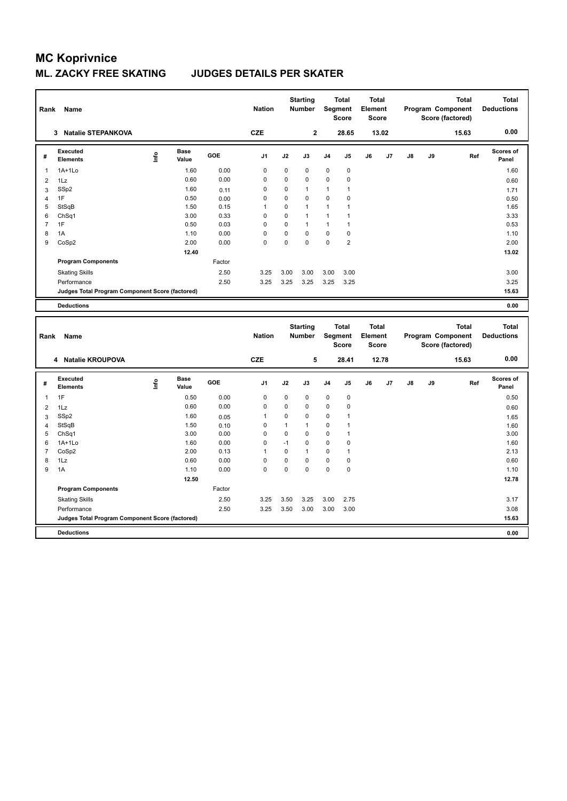| Rank           | Name                                            |             |                      |        | <b>Nation</b>  |                | <b>Starting</b><br><b>Number</b> |              | <b>Total</b><br>Segment<br><b>Score</b> | <b>Total</b><br>Element<br><b>Score</b> |       |               |    | <b>Total</b><br>Program Component<br>Score (factored) | <b>Total</b><br><b>Deductions</b> |
|----------------|-------------------------------------------------|-------------|----------------------|--------|----------------|----------------|----------------------------------|--------------|-----------------------------------------|-----------------------------------------|-------|---------------|----|-------------------------------------------------------|-----------------------------------|
|                | 3 Natalie STEPANKOVA                            |             |                      |        | <b>CZE</b>     |                | $\mathbf{2}$                     |              | 28.65                                   |                                         | 13.02 |               |    | 15.63                                                 | 0.00                              |
| #              | <b>Executed</b><br><b>Elements</b>              | <u>lnfo</u> | <b>Base</b><br>Value | GOE    | J1             | J2             | J3                               | J4           | J5                                      | J6                                      | J7    | J8            | J9 | Ref                                                   | Scores of<br>Panel                |
| 1              | $1A+1Lo$                                        |             | 1.60                 | 0.00   | 0              | 0              | $\mathbf 0$                      | $\mathbf 0$  | $\pmb{0}$                               |                                         |       |               |    |                                                       | 1.60                              |
| $\overline{2}$ | 1Lz                                             |             | 0.60                 | 0.00   | $\mathbf 0$    | 0              | $\mathbf 0$                      | $\mathbf 0$  | $\pmb{0}$                               |                                         |       |               |    |                                                       | 0.60                              |
| 3              | SSp2                                            |             | 1.60                 | 0.11   | 0              | 0              | 1                                | 1            | 1                                       |                                         |       |               |    |                                                       | 1.71                              |
| $\overline{4}$ | 1F                                              |             | 0.50                 | 0.00   | $\mathbf 0$    | 0              | $\mathbf 0$                      | $\mathbf 0$  | 0                                       |                                         |       |               |    |                                                       | 0.50                              |
| 5              | StSqB                                           |             | 1.50                 | 0.15   | 1              | 0              | $\overline{1}$                   | $\mathbf{1}$ | $\mathbf{1}$                            |                                         |       |               |    |                                                       | 1.65                              |
| 6              | ChSq1                                           |             | 3.00                 | 0.33   | $\mathbf 0$    | 0              | 1                                | $\mathbf{1}$ | 1                                       |                                         |       |               |    |                                                       | 3.33                              |
| $\overline{7}$ | 1F                                              |             | 0.50                 | 0.03   | $\mathbf 0$    | 0              | 1                                | $\mathbf{1}$ | $\mathbf{1}$                            |                                         |       |               |    |                                                       | 0.53                              |
| 8              | 1A                                              |             | 1.10                 | 0.00   | $\mathbf 0$    | 0              | $\mathbf 0$                      | $\mathbf 0$  | 0                                       |                                         |       |               |    |                                                       | 1.10                              |
| 9              | CoSp2                                           |             | 2.00                 | 0.00   | $\mathbf 0$    | 0              | $\mathbf 0$                      | $\mathbf 0$  | $\overline{2}$                          |                                         |       |               |    |                                                       | 2.00                              |
|                |                                                 |             | 12.40                |        |                |                |                                  |              |                                         |                                         |       |               |    |                                                       | 13.02                             |
|                | <b>Program Components</b>                       |             |                      | Factor |                |                |                                  |              |                                         |                                         |       |               |    |                                                       |                                   |
|                | <b>Skating Skills</b>                           |             |                      | 2.50   | 3.25           | 3.00           | 3.00                             | 3.00         | 3.00                                    |                                         |       |               |    |                                                       | 3.00                              |
|                | Performance                                     |             |                      | 2.50   | 3.25           | 3.25           | 3.25                             | 3.25         | 3.25                                    |                                         |       |               |    |                                                       | 3.25                              |
|                | Judges Total Program Component Score (factored) |             |                      |        |                |                |                                  |              |                                         |                                         |       |               |    |                                                       | 15.63                             |
|                | <b>Deductions</b>                               |             |                      |        |                |                |                                  |              |                                         |                                         |       |               |    |                                                       | 0.00                              |
| Rank           | Name                                            |             |                      |        | <b>Nation</b>  |                | <b>Starting</b><br>Number        |              | <b>Total</b><br>Segment<br><b>Score</b> | <b>Total</b><br>Element<br><b>Score</b> |       |               |    | <b>Total</b><br>Program Component<br>Score (factored) | <b>Total</b><br><b>Deductions</b> |
|                | 4 Natalie KROUPOVA                              |             |                      |        | <b>CZE</b>     |                | 5                                |              | 28.41                                   |                                         | 12.78 |               |    | 15.63                                                 | 0.00                              |
| #              | <b>Executed</b><br><b>Elements</b>              | Life        | Base<br>Value        | GOE    | J <sub>1</sub> | J2             | J3                               | J4           | J5                                      | J6                                      | J7    | $\mathsf{J}8$ | J9 | Ref                                                   | <b>Scores of</b><br>Panel         |
| $\mathbf{1}$   | 1F                                              |             | 0.50                 | 0.00   | $\mathbf 0$    | 0              | $\mathbf 0$                      | $\mathbf 0$  | $\pmb{0}$                               |                                         |       |               |    |                                                       | 0.50                              |
| $\overline{2}$ | 1Lz                                             |             | 0.60                 | 0.00   | 0              | 0              | $\mathbf 0$                      | $\mathbf 0$  | 0                                       |                                         |       |               |    |                                                       | 0.60                              |
| 3              | SSp2                                            |             | 1.60                 | 0.05   | 1              | 0              | $\mathbf 0$                      | $\mathbf 0$  | $\mathbf{1}$                            |                                         |       |               |    |                                                       | 1.65                              |
| $\overline{4}$ | StSqB                                           |             | 1.50                 | 0.10   | 0              | $\mathbf{1}$   | $\overline{1}$                   | $\mathbf 0$  | 1                                       |                                         |       |               |    |                                                       | 1.60                              |
| 5              | Ch <sub>Sq1</sub>                               |             | 3.00                 | 0.00   | $\mathbf 0$    | 0              | $\mathbf 0$                      | $\mathbf 0$  | $\mathbf{1}$                            |                                         |       |               |    |                                                       | 3.00                              |
| 6              | $1A+1Lo$                                        |             | 1.60                 | 0.00   | 0              | $-1$           | $\mathbf 0$                      | 0            | 0                                       |                                         |       |               |    |                                                       | 1.60                              |
| 7              | CoSp2                                           |             | 2.00                 | 0.13   | 1              | 0              | 1                                | $\mathbf 0$  | $\mathbf{1}$                            |                                         |       |               |    |                                                       | 2.13                              |
| 8              | 1Lz                                             |             | 0.60                 | 0.00   | $\mathbf 0$    | 0              | $\mathbf 0$                      | $\mathbf 0$  | $\pmb{0}$                               |                                         |       |               |    |                                                       | 0.60                              |
| 9              | 1A                                              |             | 1.10                 | 0.00   | $\Omega$       | $\overline{0}$ | $\Omega$                         | $\Omega$     | 0                                       |                                         |       |               |    |                                                       | 1.10                              |
|                |                                                 |             | 12.50                |        |                |                |                                  |              |                                         |                                         |       |               |    |                                                       | 12.78                             |
|                | <b>Program Components</b>                       |             |                      | Factor |                |                |                                  |              |                                         |                                         |       |               |    |                                                       |                                   |
|                | <b>Skating Skills</b>                           |             |                      | 2.50   | 3.25           | 3.50           | 3.25                             | 3.00         | 2.75                                    |                                         |       |               |    |                                                       | 3.17                              |
|                | Performance                                     |             |                      | 2.50   | 3.25           | 3.50           | 3.00                             | 3.00         | 3.00                                    |                                         |       |               |    |                                                       | 3.08                              |
|                |                                                 |             |                      |        |                |                |                                  |              |                                         |                                         |       |               |    |                                                       |                                   |
|                | Judges Total Program Component Score (factored) |             |                      |        |                |                |                                  |              |                                         |                                         |       |               |    |                                                       | 15.63                             |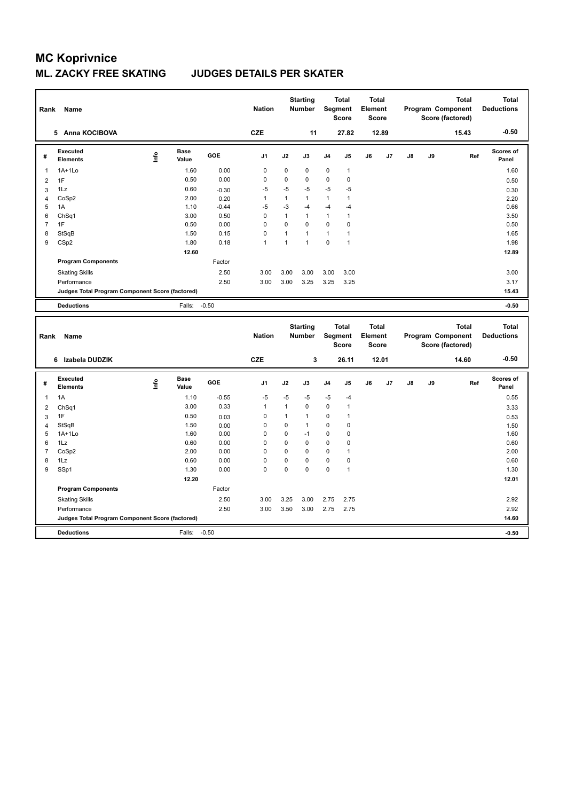### **ML. ZACKY FREE SKATING JUDGES DETAILS PER SKATER**

| Rank           | Name                                            |      |                      |         | <b>Nation</b>  |              | <b>Starting</b><br><b>Number</b> |              | <b>Total</b><br>Segment<br><b>Score</b> | <b>Total</b><br>Element<br><b>Score</b> |       |    |    | <b>Total</b><br>Program Component<br>Score (factored) | <b>Total</b><br><b>Deductions</b> |
|----------------|-------------------------------------------------|------|----------------------|---------|----------------|--------------|----------------------------------|--------------|-----------------------------------------|-----------------------------------------|-------|----|----|-------------------------------------------------------|-----------------------------------|
|                | 5 Anna KOCIBOVA                                 |      |                      |         | <b>CZE</b>     |              | 11                               |              | 27.82                                   |                                         | 12.89 |    |    | 15.43                                                 | $-0.50$                           |
| #              | <b>Executed</b><br><b>Elements</b>              | Lnfo | <b>Base</b><br>Value | GOE     | J <sub>1</sub> | J2           | J3                               | J4           | J5                                      | J6                                      | J7    | J8 | J9 | Ref                                                   | Scores of<br>Panel                |
| -1             | $1A+1Lo$                                        |      | 1.60                 | 0.00    | $\mathbf 0$    | 0            | $\mathbf 0$                      | $\mathbf 0$  | $\mathbf{1}$                            |                                         |       |    |    |                                                       | 1.60                              |
| $\overline{2}$ | 1F                                              |      | 0.50                 | 0.00    | 0              | 0            | 0                                | 0            | 0                                       |                                         |       |    |    |                                                       | 0.50                              |
| 3              | 1Lz                                             |      | 0.60                 | $-0.30$ | $-5$           | $-5$         | $-5$                             | $-5$         | $-5$                                    |                                         |       |    |    |                                                       | 0.30                              |
| 4              | CoSp2                                           |      | 2.00                 | 0.20    | 1              | $\mathbf{1}$ | $\mathbf{1}$                     | $\mathbf{1}$ | $\mathbf{1}$                            |                                         |       |    |    |                                                       | 2.20                              |
| 5              | 1A                                              |      | 1.10                 | $-0.44$ | $-5$           | $-3$         | $-4$                             | $-4$         | $-4$                                    |                                         |       |    |    |                                                       | 0.66                              |
| 6              | Ch <sub>Sq1</sub>                               |      | 3.00                 | 0.50    | $\mathbf 0$    | $\mathbf{1}$ | $\mathbf{1}$                     | $\mathbf{1}$ | $\mathbf{1}$                            |                                         |       |    |    |                                                       | 3.50                              |
| $\overline{7}$ | 1F                                              |      | 0.50                 | 0.00    | $\mathbf 0$    | 0            | $\mathbf 0$                      | $\mathbf 0$  | 0                                       |                                         |       |    |    |                                                       | 0.50                              |
| 8              | StSqB                                           |      | 1.50                 | 0.15    | $\mathbf 0$    | $\mathbf{1}$ | $\mathbf{1}$                     | 1            | $\mathbf{1}$                            |                                         |       |    |    |                                                       | 1.65                              |
| 9              | CSp2                                            |      | 1.80                 | 0.18    | 1              | $\mathbf{1}$ | $\mathbf{1}$                     | $\mathbf 0$  | $\overline{1}$                          |                                         |       |    |    |                                                       | 1.98                              |
|                |                                                 |      | 12.60                |         |                |              |                                  |              |                                         |                                         |       |    |    |                                                       | 12.89                             |
|                | <b>Program Components</b>                       |      |                      | Factor  |                |              |                                  |              |                                         |                                         |       |    |    |                                                       |                                   |
|                | <b>Skating Skills</b>                           |      |                      | 2.50    | 3.00           | 3.00         | 3.00                             | 3.00         | 3.00                                    |                                         |       |    |    |                                                       | 3.00                              |
|                | Performance                                     |      |                      | 2.50    | 3.00           | 3.00         | 3.25                             | 3.25         | 3.25                                    |                                         |       |    |    |                                                       | 3.17                              |
|                | Judges Total Program Component Score (factored) |      |                      |         |                |              |                                  |              |                                         |                                         |       |    |    |                                                       | 15.43                             |
|                | <b>Deductions</b>                               |      | Falls:               | $-0.50$ |                |              |                                  |              |                                         |                                         |       |    |    |                                                       | $-0.50$                           |
| Rank           | Name                                            |      |                      |         | <b>Nation</b>  |              | <b>Starting</b><br>Number        |              | <b>Total</b><br>Segment<br><b>Score</b> | <b>Total</b><br>Element<br><b>Score</b> |       |    |    | <b>Total</b><br>Program Component<br>Score (factored) | <b>Total</b><br><b>Deductions</b> |
|                | 6 Izabela DUDZIK                                |      |                      |         | <b>CZE</b>     |              | 3                                |              | 26.11                                   |                                         | 12.01 |    |    | 14.60                                                 | $-0.50$                           |
| #              | <b>Executed</b><br><b>Elements</b>              | Life | <b>Base</b><br>Value | GOE     | J <sub>1</sub> | J2           | J3                               | J4           | J5                                      | J6                                      | J7    | J8 | J9 | Ref                                                   | <b>Scores of</b><br>Panel         |
| $\mathbf{1}$   | 1A                                              |      | 1.10                 | $-0.55$ | $-5$           | $-5$         | -5                               | $-5$         | $-4$                                    |                                         |       |    |    |                                                       | 0.55                              |
| $\overline{2}$ | ChSq1                                           |      | 3.00                 | 0.33    | $\mathbf{1}$   | $\mathbf{1}$ | $\mathbf 0$                      | $\mathbf 0$  | $\mathbf{1}$                            |                                         |       |    |    |                                                       | 3.33                              |
| 3              | 1F                                              |      | 0.50                 | 0.03    | 0              | $\mathbf{1}$ | $\mathbf{1}$                     | 0            | $\mathbf{1}$                            |                                         |       |    |    |                                                       | 0.53                              |
| $\overline{4}$ | StSqB                                           |      | 1.50                 | 0.00    | $\mathbf 0$    | 0            | $\mathbf{1}$                     | $\mathbf 0$  | 0                                       |                                         |       |    |    |                                                       | 1.50                              |
| 5              | $1A+1Lo$                                        |      | 1.60                 | 0.00    | 0              | 0            | $-1$                             | 0            | 0                                       |                                         |       |    |    |                                                       | 1.60                              |
| 6              |                                                 |      |                      |         |                |              |                                  |              |                                         |                                         |       |    |    |                                                       |                                   |
| $\overline{7}$ | 1Lz                                             |      | 0.60                 | 0.00    | $\mathbf 0$    | 0            | $\mathbf 0$                      | $\mathbf 0$  | 0                                       |                                         |       |    |    |                                                       | 0.60                              |
|                | CoSp2                                           |      | 2.00                 | 0.00    | $\Omega$       | $\Omega$     | $\Omega$                         | 0            | 1                                       |                                         |       |    |    |                                                       | 2.00                              |
| 8              | 1Lz                                             |      | 0.60                 | 0.00    | $\mathbf 0$    | 0            | $\mathbf 0$                      | $\mathbf 0$  | 0                                       |                                         |       |    |    |                                                       | 0.60                              |
| 9              | SSp1                                            |      | 1.30                 | 0.00    | $\Omega$       | $\mathbf 0$  | $\Omega$                         | $\mathbf 0$  | $\mathbf{1}$                            |                                         |       |    |    |                                                       | 1.30                              |
|                |                                                 |      | 12.20                |         |                |              |                                  |              |                                         |                                         |       |    |    |                                                       | 12.01                             |
|                | <b>Program Components</b>                       |      |                      | Factor  |                |              |                                  |              |                                         |                                         |       |    |    |                                                       |                                   |
|                | <b>Skating Skills</b>                           |      |                      | 2.50    | 3.00           | 3.25         | 3.00                             | 2.75         | 2.75                                    |                                         |       |    |    |                                                       | 2.92                              |
|                | Performance                                     |      |                      | 2.50    | 3.00           | 3.50         | 3.00                             | 2.75         | 2.75                                    |                                         |       |    |    |                                                       | 2.92                              |
|                | Judges Total Program Component Score (factored) |      |                      |         |                |              |                                  |              |                                         |                                         |       |    |    |                                                       | 14.60                             |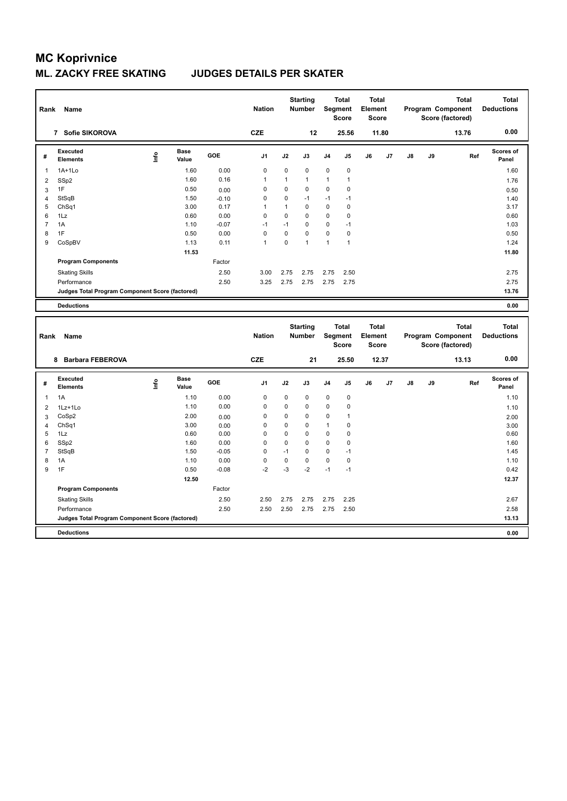### **ML. ZACKY FREE SKATING JUDGES DETAILS PER SKATER**

| Rank                | Name                                                   |      |                      |              | <b>Nation</b> |              | <b>Starting</b><br><b>Number</b> |              | <b>Total</b><br>Segment<br><b>Score</b> | <b>Total</b><br>Element<br><b>Score</b> |       |    |    | <b>Total</b><br>Program Component<br>Score (factored) | <b>Total</b><br><b>Deductions</b> |
|---------------------|--------------------------------------------------------|------|----------------------|--------------|---------------|--------------|----------------------------------|--------------|-----------------------------------------|-----------------------------------------|-------|----|----|-------------------------------------------------------|-----------------------------------|
|                     | 7 Sofie SIKOROVA                                       |      |                      |              | <b>CZE</b>    |              | 12                               |              | 25.56                                   |                                         | 11.80 |    |    | 13.76                                                 | 0.00                              |
| #                   | <b>Executed</b><br><b>Elements</b>                     | Lnfo | <b>Base</b><br>Value | GOE          | J1            | J2           | J3                               | J4           | J5                                      | J6                                      | J7    | J8 | J9 | Ref                                                   | Scores of<br>Panel                |
| 1                   | $1A+1Lo$                                               |      | 1.60                 | 0.00         | $\mathbf 0$   | 0            | $\mathbf 0$                      | $\mathbf 0$  | 0                                       |                                         |       |    |    |                                                       | 1.60                              |
| $\overline{2}$      | SSp2                                                   |      | 1.60                 | 0.16         | $\mathbf{1}$  | $\mathbf{1}$ | 1                                | 1            | $\mathbf{1}$                            |                                         |       |    |    |                                                       | 1.76                              |
| $\mathbf{3}$        | 1F                                                     |      | 0.50                 | 0.00         | 0             | 0            | $\mathbf 0$                      | $\Omega$     | 0                                       |                                         |       |    |    |                                                       | 0.50                              |
| $\overline{4}$      | StSqB                                                  |      | 1.50                 | $-0.10$      | $\mathbf 0$   | 0            | $-1$                             | $-1$         | $-1$                                    |                                         |       |    |    |                                                       | 1.40                              |
| 5                   | ChSq1                                                  |      | 3.00                 | 0.17         | $\mathbf{1}$  | $\mathbf{1}$ | $\mathbf 0$                      | $\mathbf 0$  | $\mathbf 0$                             |                                         |       |    |    |                                                       | 3.17                              |
| 6                   | 1Lz                                                    |      | 0.60                 | 0.00         | 0             | 0            | $\mathbf 0$                      | $\mathbf 0$  | 0                                       |                                         |       |    |    |                                                       | 0.60                              |
| $\overline{7}$      | 1A                                                     |      | 1.10                 | $-0.07$      | $-1$          | $-1$         | $\mathbf 0$                      | $\mathbf 0$  | $-1$                                    |                                         |       |    |    |                                                       | 1.03                              |
| 8                   | 1F                                                     |      | 0.50                 | 0.00         | $\mathbf 0$   | 0            | $\Omega$                         | $\mathbf 0$  | $\mathbf 0$                             |                                         |       |    |    |                                                       | 0.50                              |
| 9                   | CoSpBV                                                 |      | 1.13                 | 0.11         | $\mathbf{1}$  | 0            | $\mathbf{1}$                     | $\mathbf{1}$ | $\mathbf{1}$                            |                                         |       |    |    |                                                       | 1.24                              |
|                     |                                                        |      | 11.53                |              |               |              |                                  |              |                                         |                                         |       |    |    |                                                       | 11.80                             |
|                     | <b>Program Components</b>                              |      |                      | Factor       |               |              |                                  |              |                                         |                                         |       |    |    |                                                       |                                   |
|                     | <b>Skating Skills</b>                                  |      |                      | 2.50         | 3.00          | 2.75         | 2.75                             | 2.75         | 2.50                                    |                                         |       |    |    |                                                       | 2.75                              |
|                     | Performance                                            |      |                      | 2.50         | 3.25          | 2.75         | 2.75                             | 2.75         | 2.75                                    |                                         |       |    |    |                                                       | 2.75                              |
|                     | Judges Total Program Component Score (factored)        |      |                      |              |               |              |                                  |              |                                         |                                         |       |    |    |                                                       | 13.76                             |
|                     | <b>Deductions</b>                                      |      |                      |              |               |              |                                  |              |                                         |                                         |       |    |    |                                                       | 0.00                              |
| Rank                | Name                                                   |      |                      |              | <b>Nation</b> |              | <b>Starting</b><br>Number        |              | <b>Total</b><br>Segment<br><b>Score</b> | <b>Total</b><br>Element<br><b>Score</b> |       |    |    | <b>Total</b><br>Program Component                     | <b>Total</b><br><b>Deductions</b> |
|                     |                                                        |      |                      |              |               |              |                                  |              |                                         |                                         |       |    |    | Score (factored)                                      |                                   |
|                     | 8 Barbara FEBEROVA                                     |      |                      |              | <b>CZE</b>    |              | 21                               |              | 25.50                                   |                                         | 12.37 |    |    | 13.13                                                 | 0.00                              |
| #                   | <b>Executed</b><br>Elements                            | ۴ů   | <b>Base</b><br>Value | GOE          | J1            | J2           | J3                               | J4           | J5                                      | J6                                      | J7    | J8 | J9 | Ref                                                   | <b>Scores of</b><br>Panel         |
| $\mathbf{1}$        | 1A                                                     |      | 1.10                 | 0.00         | 0             | 0            | $\mathbf 0$                      | $\mathbf 0$  | 0                                       |                                         |       |    |    |                                                       | 1.10                              |
| $\overline{2}$      |                                                        |      | 1.10                 | 0.00         | $\mathbf 0$   | 0            | $\mathbf 0$                      | $\mathbf 0$  | 0                                       |                                         |       |    |    |                                                       |                                   |
|                     | 1Lz+1Lo<br>CoSp2                                       |      | 2.00                 |              | 0             | 0            | $\mathbf 0$                      | $\mathbf 0$  | $\mathbf{1}$                            |                                         |       |    |    |                                                       | 1.10                              |
| 3<br>$\overline{4}$ | ChSq1                                                  |      | 3.00                 | 0.00<br>0.00 | $\mathbf 0$   | 0            | $\mathbf 0$                      | $\mathbf{1}$ | 0                                       |                                         |       |    |    |                                                       | 2.00<br>3.00                      |
| 5                   | 1Lz                                                    |      | 0.60                 | 0.00         | 0             | 0            | $\mathbf 0$                      | 0            | $\mathbf 0$                             |                                         |       |    |    |                                                       | 0.60                              |
| 6                   | SSp2                                                   |      | 1.60                 | 0.00         | 0             | 0            | $\mathbf 0$                      | 0            | 0                                       |                                         |       |    |    |                                                       | 1.60                              |
| $\overline{7}$      | StSqB                                                  |      | 1.50                 | $-0.05$      | $\mathbf 0$   | $-1$         | $\mathbf 0$                      | $\mathbf 0$  | $-1$                                    |                                         |       |    |    |                                                       | 1.45                              |
| 8                   | 1A                                                     |      | 1.10                 | 0.00         | $\mathbf 0$   | 0            | $\mathbf 0$                      | $\mathbf 0$  | $\mathbf 0$                             |                                         |       |    |    |                                                       | 1.10                              |
| 9                   | 1F                                                     |      | 0.50                 | $-0.08$      | $-2$          | $-3$         | $-2$                             | $-1$         | $-1$                                    |                                         |       |    |    |                                                       | 0.42                              |
|                     |                                                        |      | 12.50                |              |               |              |                                  |              |                                         |                                         |       |    |    |                                                       | 12.37                             |
|                     | <b>Program Components</b>                              |      |                      | Factor       |               |              |                                  |              |                                         |                                         |       |    |    |                                                       |                                   |
|                     | <b>Skating Skills</b>                                  |      |                      | 2.50         | 2.50          | 2.75         | 2.75                             | 2.75         | 2.25                                    |                                         |       |    |    |                                                       | 2.67                              |
|                     | Performance                                            |      |                      | 2.50         | 2.50          | 2.50         | 2.75                             | 2.75         | 2.50                                    |                                         |       |    |    |                                                       | 2.58                              |
|                     | <b>Judges Total Program Component Score (factored)</b> |      |                      |              |               |              |                                  |              |                                         |                                         |       |    |    |                                                       | 13.13                             |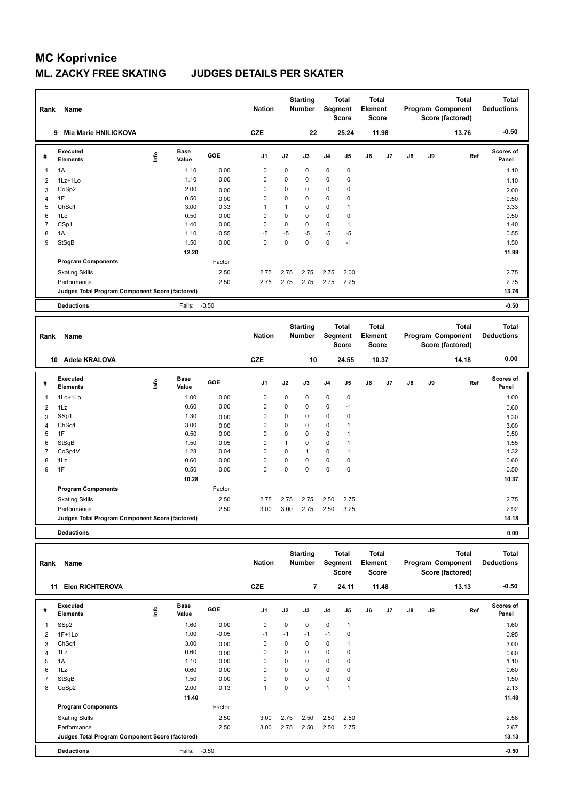| Rank                    | Name                                            |      |                      |              | <b>Nation</b>              |                             | <b>Starting</b><br><b>Number</b> |                            | <b>Total</b><br>Segment<br><b>Score</b> | Total<br>Element<br><b>Score</b>        |       |    |    | <b>Total</b><br>Program Component<br>Score (factored) | <b>Total</b><br><b>Deductions</b> |
|-------------------------|-------------------------------------------------|------|----------------------|--------------|----------------------------|-----------------------------|----------------------------------|----------------------------|-----------------------------------------|-----------------------------------------|-------|----|----|-------------------------------------------------------|-----------------------------------|
|                         | Mia Marie HNILICKOVA<br>9                       |      |                      |              | <b>CZE</b>                 |                             | 22                               |                            | 25.24                                   |                                         | 11.98 |    |    | 13.76                                                 | $-0.50$                           |
| #                       | <b>Executed</b><br><b>Elements</b>              | lnfo | <b>Base</b><br>Value | GOE          | J1                         | J2                          | J3                               | J4                         | J5                                      | J6                                      | J7    | J8 | J9 | Ref                                                   | Scores of<br>Panel                |
| $\mathbf{1}$            | 1A                                              |      | 1.10                 | 0.00         | 0                          | 0                           | 0                                | $\pmb{0}$                  | 0                                       |                                         |       |    |    |                                                       | 1.10                              |
| $\overline{2}$          | 1Lz+1Lo                                         |      | 1.10                 | 0.00         | 0                          | 0                           | 0                                | $\pmb{0}$                  | 0                                       |                                         |       |    |    |                                                       | 1.10                              |
| 3                       | CoSp2                                           |      | 2.00                 | 0.00         | 0                          | 0                           | 0                                | $\pmb{0}$                  | 0                                       |                                         |       |    |    |                                                       | 2.00                              |
| 4                       | 1F                                              |      | 0.50                 | 0.00         | 0                          | 0                           | 0                                | $\pmb{0}$                  | 0                                       |                                         |       |    |    |                                                       | 0.50                              |
| 5                       | Ch <sub>Sq1</sub>                               |      | 3.00                 | 0.33         | $\mathbf{1}$               | $\mathbf{1}$                | 0                                | $\pmb{0}$                  | $\mathbf{1}$                            |                                         |       |    |    |                                                       | 3.33                              |
| 6                       | 1Lo                                             |      | 0.50                 | 0.00         | $\mathbf 0$                | $\mathbf 0$                 | 0                                | $\mathbf 0$                | 0                                       |                                         |       |    |    |                                                       | 0.50                              |
| $\overline{7}$          | CSp1                                            |      | 1.40                 | 0.00         | 0                          | 0                           | 0                                | $\pmb{0}$                  | $\mathbf{1}$                            |                                         |       |    |    |                                                       | 1.40                              |
| 8                       | 1A                                              |      | 1.10                 | $-0.55$      | $-5$                       | -5                          | $-5$                             | -5                         | -5                                      |                                         |       |    |    |                                                       | 0.55                              |
| 9                       | StSqB                                           |      | 1.50                 | 0.00         | $\mathbf 0$                | $\mathbf 0$                 | 0                                | $\pmb{0}$                  | $-1$                                    |                                         |       |    |    |                                                       | 1.50                              |
|                         |                                                 |      | 12.20                |              |                            |                             |                                  |                            |                                         |                                         |       |    |    |                                                       | 11.98                             |
|                         | <b>Program Components</b>                       |      |                      | Factor       |                            |                             |                                  |                            |                                         |                                         |       |    |    |                                                       |                                   |
|                         | <b>Skating Skills</b>                           |      |                      | 2.50         | 2.75                       | 2.75                        | 2.75                             | 2.75                       | 2.00                                    |                                         |       |    |    |                                                       | 2.75                              |
|                         | Performance                                     |      |                      | 2.50         | 2.75                       | 2.75                        | 2.75                             | 2.75                       | 2.25                                    |                                         |       |    |    |                                                       | 2.75                              |
|                         | Judges Total Program Component Score (factored) |      |                      |              |                            |                             |                                  |                            |                                         |                                         |       |    |    |                                                       | 13.76                             |
|                         | <b>Deductions</b>                               |      | Falls:               | $-0.50$      |                            |                             |                                  |                            |                                         |                                         |       |    |    |                                                       | $-0.50$                           |
|                         |                                                 |      |                      |              |                            |                             |                                  |                            |                                         |                                         |       |    |    |                                                       |                                   |
| Rank                    | <b>Name</b>                                     |      |                      |              | <b>Nation</b>              |                             | <b>Starting</b><br><b>Number</b> |                            | Total<br>Segment                        | Total<br>Element                        |       |    |    | <b>Total</b><br>Program Component                     | <b>Total</b><br><b>Deductions</b> |
|                         |                                                 |      |                      |              |                            |                             |                                  |                            | <b>Score</b>                            | <b>Score</b>                            |       |    |    | Score (factored)                                      |                                   |
|                         | 10 Adela KRALOVA                                |      |                      |              | <b>CZE</b>                 |                             | 10                               |                            | 24.55                                   |                                         | 10.37 |    |    | 14.18                                                 | 0.00                              |
| #                       | <b>Executed</b><br><b>Elements</b>              | ١nf٥ | <b>Base</b><br>Value | GOE          | J1                         | J2                          | J3                               | J4                         | J5                                      | J6                                      | J7    | J8 | J9 | Ref                                                   | Scores of<br>Panel                |
|                         |                                                 |      |                      |              |                            |                             |                                  |                            |                                         |                                         |       |    |    |                                                       |                                   |
| 1                       | 1Lo+1Lo                                         |      | 1.00                 | 0.00         | 0                          | 0                           | 0                                | $\pmb{0}$                  | 0                                       |                                         |       |    |    |                                                       | 1.00                              |
| $\overline{2}$          | 1Lz                                             |      | 0.60                 | 0.00         | 0                          | 0                           | 0                                | $\pmb{0}$                  | $-1$                                    |                                         |       |    |    |                                                       | 0.60                              |
| 3                       | SSp1                                            |      | 1.30                 | 0.00         | 0                          | 0                           | 0                                | $\pmb{0}$                  | 0                                       |                                         |       |    |    |                                                       | 1.30                              |
| $\overline{4}$          | Ch <sub>Sq1</sub>                               |      | 3.00                 | 0.00         | 0                          | $\mathbf 0$                 | 0                                | $\pmb{0}$                  | $\mathbf{1}$                            |                                         |       |    |    |                                                       | 3.00                              |
| 5<br>6                  | 1F                                              |      | 0.50                 | 0.00<br>0.05 | $\mathbf 0$<br>$\mathbf 0$ | $\mathbf 0$<br>$\mathbf{1}$ | 0<br>0                           | $\mathbf 0$<br>$\mathbf 0$ | $\mathbf{1}$<br>$\mathbf{1}$            |                                         |       |    |    |                                                       | 0.50                              |
| 7                       | StSqB<br>CoSp1V                                 |      | 1.50<br>1.28         | 0.04         | $\mathbf 0$                | $\mathbf 0$                 | $\mathbf{1}$                     | $\pmb{0}$                  | 1                                       |                                         |       |    |    |                                                       | 1.55<br>1.32                      |
| 8                       | 1Lz                                             |      | 0.60                 | 0.00         | 0                          | 0                           | 0                                | $\pmb{0}$                  | 0                                       |                                         |       |    |    |                                                       | 0.60                              |
| 9                       | 1F                                              |      | 0.50                 | 0.00         | $\Omega$                   | $\mathbf 0$                 | 0                                | $\pmb{0}$                  | $\mathbf 0$                             |                                         |       |    |    |                                                       | 0.50                              |
|                         |                                                 |      | 10.28                |              |                            |                             |                                  |                            |                                         |                                         |       |    |    |                                                       | 10.37                             |
|                         | <b>Program Components</b>                       |      |                      | Factor       |                            |                             |                                  |                            |                                         |                                         |       |    |    |                                                       |                                   |
|                         |                                                 |      |                      |              |                            |                             |                                  |                            |                                         |                                         |       |    |    |                                                       |                                   |
|                         | <b>Skating Skills</b>                           |      |                      | 2.50         | 2.75                       | 2.75                        | 2.75                             | 2.50                       | 2.75                                    |                                         |       |    |    |                                                       | 2.75                              |
|                         | Performance                                     |      |                      | 2.50         | 3.00                       | 3.00                        | 2.75                             | 2.50                       | 3.25                                    |                                         |       |    |    |                                                       | 2.92                              |
|                         | Judges Total Program Component Score (factored) |      |                      |              |                            |                             |                                  |                            |                                         |                                         |       |    |    |                                                       | 14.18                             |
|                         | <b>Deductions</b>                               |      |                      |              |                            |                             |                                  |                            |                                         |                                         |       |    |    |                                                       | 0.00                              |
|                         |                                                 |      |                      |              |                            |                             | <b>Starting</b>                  |                            |                                         |                                         |       |    |    | <b>Total</b>                                          | <b>Total</b>                      |
| Rank                    | Name                                            |      |                      |              | <b>Nation</b>              |                             | Number                           |                            | <b>Total</b><br>Segment<br><b>Score</b> | <b>Total</b><br>Element<br><b>Score</b> |       |    |    | Program Component<br>Score (factored)                 | <b>Deductions</b>                 |
|                         | 11 Elen RICHTEROVA                              |      |                      |              | CZE                        |                             | $\overline{\phantom{a}}$         |                            | 24.11                                   |                                         | 11.48 |    |    | 13.13                                                 | $-0.50$                           |
|                         |                                                 |      |                      |              |                            |                             |                                  |                            |                                         |                                         |       |    |    |                                                       |                                   |
| #                       | Executed<br><b>Elements</b>                     | ١nfo | Base<br>Value        | GOE          | J1                         | J2                          | J3                               | J4                         | J5                                      | J6                                      | J7    | J8 | J9 | Ref                                                   | Scores of<br>Panel                |
| $\mathbf{1}$            | SSp2                                            |      | 1.60                 | 0.00         | 0                          | 0                           | 0                                | $\pmb{0}$                  | $\mathbf{1}$                            |                                         |       |    |    |                                                       | 1.60                              |
| $\overline{\mathbf{c}}$ | $1F+1Lo$                                        |      | 1.00                 | $-0.05$      | $-1$                       | $-1$                        | $-1$                             | $-1$                       | $\pmb{0}$                               |                                         |       |    |    |                                                       | 0.95                              |
| 3                       | ChSq1                                           |      | 3.00                 | 0.00         | 0                          | 0                           | 0                                | $\pmb{0}$                  | $\mathbf{1}$                            |                                         |       |    |    |                                                       | 3.00                              |
| 4                       | 1Lz                                             |      | 0.60                 | 0.00         | 0                          | $\mathbf 0$                 | 0                                | $\pmb{0}$                  | $\pmb{0}$                               |                                         |       |    |    |                                                       | 0.60                              |
| 5                       | 1A                                              |      | 1.10                 | 0.00         | 0                          | $\pmb{0}$                   | 0                                | $\pmb{0}$                  | 0                                       |                                         |       |    |    |                                                       | 1.10                              |
| 6                       | 1Lz                                             |      | 0.60                 | 0.00         | 0                          | 0                           | 0                                | $\pmb{0}$                  | 0                                       |                                         |       |    |    |                                                       | 0.60                              |
| $\overline{7}$          | StSqB                                           |      | 1.50                 | 0.00         | 0                          | $\pmb{0}$                   | 0                                | $\pmb{0}$                  | $\pmb{0}$                               |                                         |       |    |    |                                                       | 1.50                              |
| 8                       | CoSp2                                           |      | 2.00                 | 0.13         | $\mathbf{1}$               | $\pmb{0}$                   | 0                                | $\mathbf{1}$               | $\mathbf{1}$                            |                                         |       |    |    |                                                       | 2.13                              |
|                         |                                                 |      | 11.40                |              |                            |                             |                                  |                            |                                         |                                         |       |    |    |                                                       | 11.48                             |

| <b>Deductions</b>                               | Falls:<br>-0.50 |      |      |      |      |      | $-0.50$ |  |
|-------------------------------------------------|-----------------|------|------|------|------|------|---------|--|
| Judges Total Program Component Score (factored) |                 |      |      |      |      |      | 13.13   |  |
| Performance                                     | 2.50            | 3.00 | 2.75 | 2.50 | 2.50 | 2.75 | 2.67    |  |
| <b>Skating Skills</b>                           | 2.50            | 3.00 | 2.75 | 2.50 | 2.50 | 2.50 | 2.58    |  |
| <b>Program Components</b>                       | Factor          |      |      |      |      |      |         |  |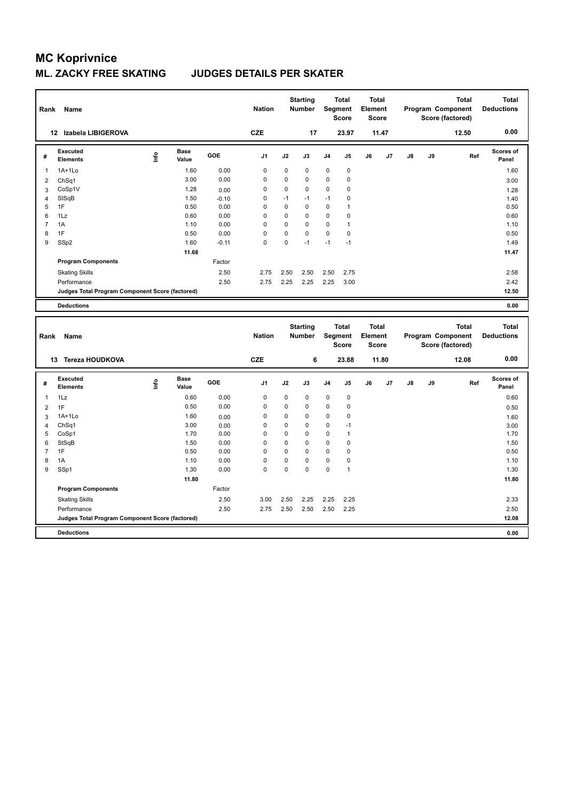| Rank                | Name                                            |      |                      |              | <b>Nation</b> |          | <b>Starting</b><br><b>Number</b> |             | <b>Total</b><br>Segment<br><b>Score</b> | <b>Total</b><br>Element<br><b>Score</b> |       |    |    | <b>Total</b><br>Program Component<br>Score (factored) | <b>Total</b><br><b>Deductions</b> |
|---------------------|-------------------------------------------------|------|----------------------|--------------|---------------|----------|----------------------------------|-------------|-----------------------------------------|-----------------------------------------|-------|----|----|-------------------------------------------------------|-----------------------------------|
|                     | 12 Izabela LIBIGEROVA                           |      |                      |              | <b>CZE</b>    |          | 17                               |             | 23.97                                   |                                         | 11.47 |    |    | 12.50                                                 | 0.00                              |
| #                   | <b>Executed</b><br><b>Elements</b>              | Lnfo | <b>Base</b><br>Value | GOE          | J1            | J2       | J3                               | J4          | J <sub>5</sub>                          | J6                                      | J7    | J8 | J9 | Ref                                                   | Scores of<br>Panel                |
| $\mathbf{1}$        | $1A+1Lo$                                        |      | 1.60                 | 0.00         | $\mathbf 0$   | 0        | $\mathbf 0$                      | $\mathbf 0$ | $\pmb{0}$                               |                                         |       |    |    |                                                       | 1.60                              |
| $\overline{2}$      | ChSq1                                           |      | 3.00                 | 0.00         | $\mathbf 0$   | 0        | $\mathbf 0$                      | $\mathbf 0$ | 0                                       |                                         |       |    |    |                                                       | 3.00                              |
| 3                   | CoSp1V                                          |      | 1.28                 | 0.00         | $\mathbf 0$   | 0        | $\mathbf 0$                      | $\mathbf 0$ | 0                                       |                                         |       |    |    |                                                       | 1.28                              |
| 4                   | StSqB                                           |      | 1.50                 | $-0.10$      | $\mathbf 0$   | $-1$     | $-1$                             | $-1$        | 0                                       |                                         |       |    |    |                                                       | 1.40                              |
| 5                   | 1F                                              |      | 0.50                 | 0.00         | 0             | 0        | $\mathbf 0$                      | $\mathbf 0$ | $\mathbf{1}$                            |                                         |       |    |    |                                                       | 0.50                              |
| 6                   | 1Lz                                             |      | 0.60                 | 0.00         | $\mathbf 0$   | 0        | $\mathbf 0$                      | $\mathbf 0$ | 0                                       |                                         |       |    |    |                                                       | 0.60                              |
| 7                   | 1A                                              |      | 1.10                 | 0.00         | 0             | 0        | $\mathbf 0$                      | $\mathbf 0$ | 1                                       |                                         |       |    |    |                                                       | 1.10                              |
| 8                   | 1F                                              |      | 0.50                 | 0.00         | $\mathbf 0$   | 0        | $\mathbf 0$                      | $\mathbf 0$ | 0                                       |                                         |       |    |    |                                                       | 0.50                              |
| 9                   | SSp2                                            |      | 1.60                 | $-0.11$      | $\Omega$      | $\Omega$ | $-1$                             | $-1$        | $-1$                                    |                                         |       |    |    |                                                       | 1.49                              |
|                     |                                                 |      | 11.68                |              |               |          |                                  |             |                                         |                                         |       |    |    |                                                       | 11.47                             |
|                     | <b>Program Components</b>                       |      |                      | Factor       |               |          |                                  |             |                                         |                                         |       |    |    |                                                       |                                   |
|                     | <b>Skating Skills</b>                           |      |                      | 2.50         | 2.75          | 2.50     | 2.50                             | 2.50        | 2.75                                    |                                         |       |    |    |                                                       | 2.58                              |
|                     | Performance                                     |      |                      | 2.50         | 2.75          | 2.25     | 2.25                             | 2.25        | 3.00                                    |                                         |       |    |    |                                                       | 2.42                              |
|                     | Judges Total Program Component Score (factored) |      |                      |              |               |          |                                  |             |                                         |                                         |       |    |    |                                                       | 12.50                             |
|                     | <b>Deductions</b>                               |      |                      |              |               |          |                                  |             |                                         |                                         |       |    |    |                                                       | 0.00                              |
|                     |                                                 |      |                      |              |               |          |                                  |             |                                         |                                         |       |    |    |                                                       |                                   |
| Rank                | Name                                            |      |                      |              | <b>Nation</b> |          | <b>Starting</b><br>Number        |             | <b>Total</b><br>Segment<br>Score        | <b>Total</b><br>Element<br><b>Score</b> |       |    |    | <b>Total</b><br>Program Component<br>Score (factored) | <b>Total</b><br><b>Deductions</b> |
|                     | 13 Tereza HOUDKOVA                              |      |                      |              | <b>CZE</b>    |          | 6                                |             | 23.88                                   |                                         | 11.80 |    |    | 12.08                                                 | 0.00                              |
| #                   | <b>Executed</b><br><b>Elements</b>              | Life | Base<br>Value        | GOE          | J1            | J2       | J3                               | J4          | J <sub>5</sub>                          | J6                                      | J7    | J8 | J9 | Ref                                                   | Scores of<br>Panel                |
| $\mathbf{1}$        | 1Lz                                             |      | 0.60                 | 0.00         | $\mathbf 0$   | 0        | $\mathbf 0$                      | $\mathbf 0$ | $\pmb{0}$                               |                                         |       |    |    |                                                       | 0.60                              |
|                     |                                                 |      | 0.50                 | 0.00         | $\mathbf 0$   | 0        | $\mathbf 0$                      | $\mathbf 0$ | 0                                       |                                         |       |    |    |                                                       |                                   |
| $\overline{2}$<br>3 | 1F<br>$1A+1Lo$                                  |      | 1.60                 |              | $\mathbf 0$   | 0        | $\mathbf 0$                      | $\mathbf 0$ | $\mathbf 0$                             |                                         |       |    |    |                                                       | 0.50                              |
| 4                   | Ch <sub>Sq1</sub>                               |      | 3.00                 | 0.00<br>0.00 | $\mathbf 0$   | 0        | $\mathbf 0$                      | $\mathbf 0$ | $-1$                                    |                                         |       |    |    |                                                       | 1.60<br>3.00                      |
| 5                   | CoSp1                                           |      | 1.70                 | 0.00         | 0             | 0        | $\mathbf 0$                      | $\mathbf 0$ | $\mathbf{1}$                            |                                         |       |    |    |                                                       | 1.70                              |
| 6                   | StSqB                                           |      | 1.50                 | 0.00         | $\mathbf 0$   | 0        | $\mathbf 0$                      | $\mathbf 0$ | $\pmb{0}$                               |                                         |       |    |    |                                                       | 1.50                              |
| $\overline{7}$      | 1F                                              |      | 0.50                 | 0.00         | $\mathbf 0$   | 0        | $\mathbf 0$                      | $\mathbf 0$ | 0                                       |                                         |       |    |    |                                                       | 0.50                              |
| 8                   | 1A                                              |      | 1.10                 | 0.00         | $\mathbf 0$   | 0        | $\mathbf 0$                      | $\mathbf 0$ | 0                                       |                                         |       |    |    |                                                       | 1.10                              |
| 9                   | SSp1                                            |      | 1.30                 | 0.00         | $\Omega$      | $\Omega$ | $\Omega$                         | $\mathbf 0$ | 1                                       |                                         |       |    |    |                                                       | 1.30                              |
|                     |                                                 |      | 11.80                |              |               |          |                                  |             |                                         |                                         |       |    |    |                                                       | 11.80                             |
|                     | <b>Program Components</b>                       |      |                      | Factor       |               |          |                                  |             |                                         |                                         |       |    |    |                                                       |                                   |
|                     | <b>Skating Skills</b>                           |      |                      | 2.50         | 3.00          | 2.50     | 2.25                             | 2.25        | 2.25                                    |                                         |       |    |    |                                                       | 2.33                              |
|                     | Performance                                     |      |                      | 2.50         | 2.75          | 2.50     | 2.50                             | 2.50        | 2.25                                    |                                         |       |    |    |                                                       | 2.50                              |
|                     | Judges Total Program Component Score (factored) |      |                      |              |               |          |                                  |             |                                         |                                         |       |    |    |                                                       | 12.08                             |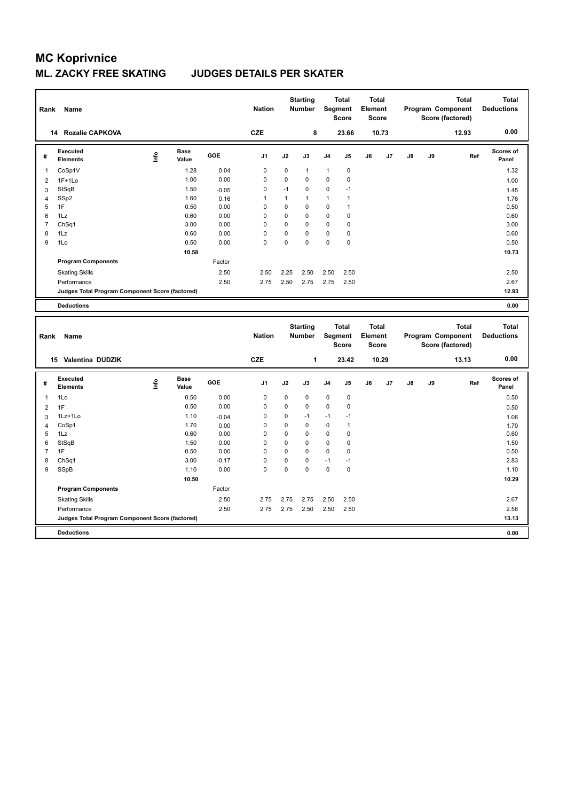| Rank           | Name                                            |      |                      |                 | <b>Nation</b>           |               | <b>Starting</b><br><b>Number</b> |                            | <b>Total</b><br>Segment<br><b>Score</b> | <b>Total</b><br>Element<br><b>Score</b> |       |    |    | <b>Total</b><br>Program Component<br>Score (factored) | <b>Total</b><br><b>Deductions</b> |
|----------------|-------------------------------------------------|------|----------------------|-----------------|-------------------------|---------------|----------------------------------|----------------------------|-----------------------------------------|-----------------------------------------|-------|----|----|-------------------------------------------------------|-----------------------------------|
|                | 14 Rozalie CAPKOVA                              |      |                      |                 | <b>CZE</b>              |               | 8                                |                            | 23.66                                   |                                         | 10.73 |    |    | 12.93                                                 | 0.00                              |
| #              | <b>Executed</b><br><b>Elements</b>              | Lnfo | <b>Base</b><br>Value | GOE             | J <sub>1</sub>          | J2            | J3                               | J4                         | J5                                      | J6                                      | J7    | J8 | J9 | Ref                                                   | Scores of<br>Panel                |
| 1              | CoSp1V                                          |      | 1.28                 | 0.04            | $\mathbf 0$             | $\mathbf 0$   | $\mathbf{1}$                     | $\mathbf{1}$               | $\mathsf 0$                             |                                         |       |    |    |                                                       | 1.32                              |
| $\overline{2}$ | $1F+1Lo$                                        |      | 1.00                 | 0.00            | $\mathbf 0$             | 0             | $\mathbf 0$                      | $\mathbf 0$                | 0                                       |                                         |       |    |    |                                                       | 1.00                              |
| 3              | StSqB                                           |      | 1.50                 | $-0.05$         | $\mathbf 0$             | $-1$          | $\mathbf 0$                      | $\mathbf 0$                | $-1$                                    |                                         |       |    |    |                                                       | 1.45                              |
| $\overline{4}$ | SSp2                                            |      | 1.60                 | 0.16            | $\mathbf{1}$            | 1             | $\mathbf{1}$                     | $\mathbf{1}$               | $\mathbf{1}$                            |                                         |       |    |    |                                                       | 1.76                              |
| 5              | 1F                                              |      | 0.50                 | 0.00            | $\mathbf 0$             | 0             | $\mathbf 0$                      | 0                          | $\mathbf{1}$                            |                                         |       |    |    |                                                       | 0.50                              |
| 6              | 1Lz                                             |      | 0.60                 | 0.00            | $\mathbf 0$             | $\mathbf 0$   | $\mathbf 0$                      | $\mathbf 0$                | 0                                       |                                         |       |    |    |                                                       | 0.60                              |
| 7              | Ch <sub>Sq1</sub>                               |      | 3.00                 | 0.00            | $\mathbf 0$             | 0             | $\mathbf 0$                      | 0                          | 0                                       |                                         |       |    |    |                                                       | 3.00                              |
| 8              | 1Lz                                             |      | 0.60                 | 0.00            | $\mathbf 0$<br>$\Omega$ | 0<br>$\Omega$ | $\mathbf 0$<br>$\Omega$          | 0<br>$\Omega$              | 0                                       |                                         |       |    |    |                                                       | 0.60                              |
| 9              | 1Lo                                             |      | 0.50                 | 0.00            |                         |               |                                  |                            | 0                                       |                                         |       |    |    |                                                       | 0.50                              |
|                |                                                 |      | 10.58                |                 |                         |               |                                  |                            |                                         |                                         |       |    |    |                                                       | 10.73                             |
|                | <b>Program Components</b>                       |      |                      | Factor          |                         |               |                                  |                            |                                         |                                         |       |    |    |                                                       |                                   |
|                | <b>Skating Skills</b>                           |      |                      | 2.50            | 2.50                    | 2.25          | 2.50                             | 2.50                       | 2.50                                    |                                         |       |    |    |                                                       | 2.50                              |
|                | Performance                                     |      |                      | 2.50            | 2.75                    | 2.50          | 2.75                             | 2.75                       | 2.50                                    |                                         |       |    |    |                                                       | 2.67                              |
|                | Judges Total Program Component Score (factored) |      |                      |                 |                         |               |                                  |                            |                                         |                                         |       |    |    |                                                       | 12.93                             |
|                | <b>Deductions</b>                               |      |                      |                 |                         |               |                                  |                            |                                         |                                         |       |    |    |                                                       | 0.00                              |
| Rank           | Name                                            |      |                      |                 | <b>Nation</b>           |               | <b>Starting</b><br>Number        |                            | <b>Total</b><br>Segment<br><b>Score</b> | <b>Total</b><br>Element<br><b>Score</b> |       |    |    | <b>Total</b><br>Program Component                     | <b>Total</b><br><b>Deductions</b> |
|                |                                                 |      |                      |                 |                         |               |                                  |                            |                                         |                                         |       |    |    | Score (factored)                                      |                                   |
|                | 15 Valentina DUDZIK                             |      |                      |                 | <b>CZE</b>              |               | 1                                |                            | 23.42                                   |                                         | 10.29 |    |    | 13.13                                                 | 0.00                              |
| #              | <b>Executed</b><br><b>Elements</b>              | Life | <b>Base</b><br>Value | GOE             | J <sub>1</sub>          | J2            | J3                               | J4                         | J5                                      | J6                                      | J7    | J8 | J9 | Ref                                                   | <b>Scores of</b><br>Panel         |
|                |                                                 |      |                      |                 | $\mathbf 0$             | 0             |                                  |                            |                                         |                                         |       |    |    |                                                       |                                   |
| $\mathbf{1}$   | 1Lo                                             |      | 0.50<br>0.50         | 0.00<br>0.00    | $\mathbf 0$             | 0             | 0<br>$\mathbf 0$                 | $\mathbf 0$<br>$\mathbf 0$ | $\pmb{0}$<br>$\mathbf 0$                |                                         |       |    |    |                                                       | 0.50                              |
| $\overline{2}$ | 1F<br>1Lz+1Lo                                   |      | 1.10                 |                 | $\mathbf 0$             | 0             | $-1$                             | $-1$                       | $-1$                                    |                                         |       |    |    |                                                       | 0.50                              |
| 3<br>4         | CoSp1                                           |      | 1.70                 | $-0.04$<br>0.00 | $\mathbf 0$             | 0             | $\mathbf 0$                      | 0                          | $\mathbf{1}$                            |                                         |       |    |    |                                                       | 1.06                              |
| 5              | 1Lz                                             |      | 0.60                 | 0.00            | 0                       | 0             | 0                                | 0                          | 0                                       |                                         |       |    |    |                                                       | 1.70<br>0.60                      |
| 6              | StSqB                                           |      | 1.50                 | 0.00            | $\mathbf 0$             | 0             | $\mathbf 0$                      | 0                          | $\pmb{0}$                               |                                         |       |    |    |                                                       | 1.50                              |
| 7              | 1F                                              |      | 0.50                 | 0.00            | $\mathbf 0$             | 0             | $\mathbf 0$                      | 0                          | 0                                       |                                         |       |    |    |                                                       | 0.50                              |
| 8              | ChSq1                                           |      | 3.00                 | $-0.17$         | $\mathbf 0$             | 0             | $\mathbf 0$                      | $-1$                       | $-1$                                    |                                         |       |    |    |                                                       | 2.83                              |
| 9              | SSpB                                            |      | 1.10                 | 0.00            | $\Omega$                | $\Omega$      | $\Omega$                         | $\mathbf 0$                | $\mathbf 0$                             |                                         |       |    |    |                                                       | 1.10                              |
|                |                                                 |      | 10.50                |                 |                         |               |                                  |                            |                                         |                                         |       |    |    |                                                       | 10.29                             |
|                | <b>Program Components</b>                       |      |                      | Factor          |                         |               |                                  |                            |                                         |                                         |       |    |    |                                                       |                                   |
|                | <b>Skating Skills</b>                           |      |                      | 2.50            | 2.75                    | 2.75          | 2.75                             | 2.50                       | 2.50                                    |                                         |       |    |    |                                                       | 2.67                              |
|                | Performance                                     |      |                      | 2.50            | 2.75                    | 2.75          | 2.50                             | 2.50                       | 2.50                                    |                                         |       |    |    |                                                       | 2.58                              |
|                | Judges Total Program Component Score (factored) |      |                      |                 |                         |               |                                  |                            |                                         |                                         |       |    |    |                                                       | 13.13                             |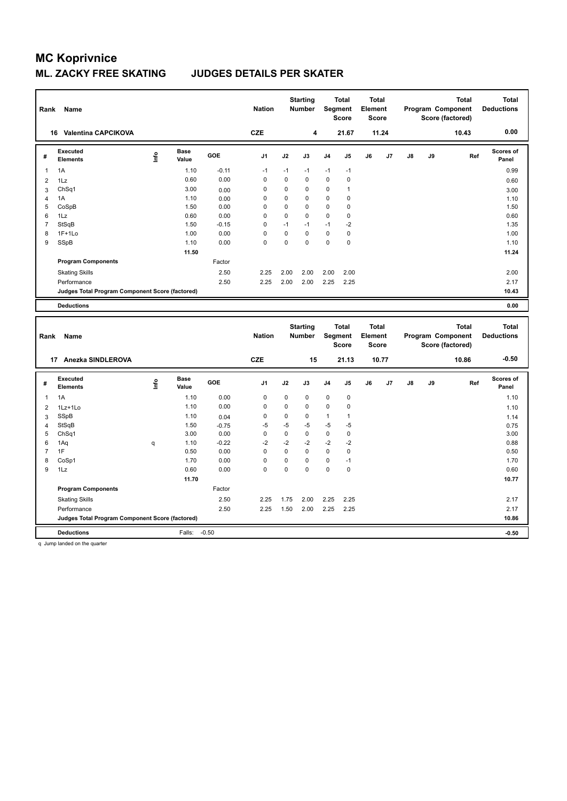### **ML. ZACKY FREE SKATING JUDGES DETAILS PER SKATER**

| Rank           | Name                                            |    |                      |                 | <b>Nation</b> |             | <b>Starting</b><br><b>Number</b> |                            | <b>Total</b><br><b>Segment</b><br><b>Score</b> | <b>Total</b><br>Element<br><b>Score</b> |       |    |    | <b>Total</b><br>Program Component<br>Score (factored) | <b>Total</b><br><b>Deductions</b> |
|----------------|-------------------------------------------------|----|----------------------|-----------------|---------------|-------------|----------------------------------|----------------------------|------------------------------------------------|-----------------------------------------|-------|----|----|-------------------------------------------------------|-----------------------------------|
|                | 16 Valentina CAPCIKOVA                          |    |                      |                 | <b>CZE</b>    |             | 4                                |                            | 21.67                                          |                                         | 11.24 |    |    | 10.43                                                 | 0.00                              |
| #              | <b>Executed</b><br><b>Elements</b>              | ۴ů | <b>Base</b><br>Value | GOE             | J1            | J2          | J3                               | J4                         | J5                                             | J6                                      | J7    | J8 | J9 | Ref                                                   | <b>Scores of</b><br>Panel         |
| $\mathbf{1}$   | 1A                                              |    | 1.10                 | $-0.11$         | $-1$          | $-1$        | $-1$                             | $-1$                       | $-1$                                           |                                         |       |    |    |                                                       | 0.99                              |
| $\overline{2}$ | 1Lz                                             |    | 0.60                 | 0.00            | 0             | 0           | $\mathbf 0$                      | 0                          | $\pmb{0}$                                      |                                         |       |    |    |                                                       | 0.60                              |
| 3              | ChSq1                                           |    | 3.00                 | 0.00            | 0             | 0           | $\mathbf 0$                      | $\mathbf 0$                | $\mathbf{1}$                                   |                                         |       |    |    |                                                       | 3.00                              |
| 4              | 1A                                              |    | 1.10                 | 0.00            | 0             | 0           | $\mathbf 0$                      | 0                          | $\mathbf 0$                                    |                                         |       |    |    |                                                       | 1.10                              |
| 5              | CoSpB                                           |    | 1.50                 | 0.00            | 0             | 0           | $\mathbf 0$                      | $\mathbf 0$                | $\mathbf 0$                                    |                                         |       |    |    |                                                       | 1.50                              |
| 6              | 1Lz                                             |    | 0.60                 | 0.00            | 0             | 0           | $\mathbf 0$                      | $\mathbf 0$                | $\pmb{0}$                                      |                                         |       |    |    |                                                       | 0.60                              |
| 7              | StSqB                                           |    | 1.50                 | $-0.15$         | 0             | $-1$<br>0   | $-1$                             | $-1$                       | $-2$                                           |                                         |       |    |    |                                                       | 1.35                              |
| 8<br>9         | $1F+1Lo$                                        |    | 1.00                 | 0.00<br>0.00    | 0<br>$\Omega$ | $\Omega$    | $\mathbf 0$<br>$\Omega$          | $\mathbf 0$<br>$\mathbf 0$ | $\pmb{0}$<br>$\mathbf 0$                       |                                         |       |    |    |                                                       | 1.00                              |
|                | SSpB                                            |    | 1.10                 |                 |               |             |                                  |                            |                                                |                                         |       |    |    |                                                       | 1.10                              |
|                |                                                 |    | 11.50                | Factor          |               |             |                                  |                            |                                                |                                         |       |    |    |                                                       | 11.24                             |
|                | <b>Program Components</b>                       |    |                      |                 |               |             |                                  |                            |                                                |                                         |       |    |    |                                                       |                                   |
|                | <b>Skating Skills</b>                           |    |                      | 2.50            | 2.25          | 2.00        | 2.00                             | 2.00                       | 2.00                                           |                                         |       |    |    |                                                       | 2.00                              |
|                | Performance                                     |    |                      | 2.50            | 2.25          | 2.00        | 2.00                             | 2.25                       | 2.25                                           |                                         |       |    |    |                                                       | 2.17                              |
|                | Judges Total Program Component Score (factored) |    |                      |                 |               |             |                                  |                            |                                                |                                         |       |    |    |                                                       | 10.43                             |
|                | <b>Deductions</b>                               |    |                      |                 |               |             |                                  |                            |                                                |                                         |       |    |    |                                                       | 0.00                              |
| Rank           | Name                                            |    |                      |                 | <b>Nation</b> |             | <b>Starting</b><br>Number        |                            | <b>Total</b><br>Segment<br><b>Score</b>        | <b>Total</b><br>Element<br><b>Score</b> |       |    |    | <b>Total</b><br>Program Component<br>Score (factored) | <b>Total</b><br><b>Deductions</b> |
|                | 17 Anezka SINDLEROVA                            |    |                      |                 |               |             |                                  |                            |                                                |                                         |       |    |    |                                                       |                                   |
|                |                                                 |    |                      |                 | <b>CZE</b>    |             | 15                               |                            | 21.13                                          |                                         | 10.77 |    |    | 10.86                                                 | $-0.50$                           |
| #              | <b>Executed</b>                                 |    | <b>Base</b>          | GOE             | J1            | J2          | J3                               | J4                         | J5                                             | J6                                      | J7    | J8 | J9 | Ref                                                   | <b>Scores of</b>                  |
|                | <b>Elements</b>                                 | ۴ů | Value                |                 |               |             |                                  |                            |                                                |                                         |       |    |    |                                                       | Panel                             |
| 1              | 1A                                              |    | 1.10                 | 0.00            | $\mathbf 0$   | 0           | $\mathbf 0$                      | $\mathbf 0$                | $\pmb{0}$                                      |                                         |       |    |    |                                                       | 1.10                              |
| $\overline{2}$ | 1Lz+1Lo                                         |    | 1.10                 | 0.00            | 0             | 0           | $\mathbf 0$                      | 0                          | $\pmb{0}$                                      |                                         |       |    |    |                                                       | 1.10                              |
| 3              | <b>SSpB</b>                                     |    | 1.10                 | 0.04            | 0             | 0<br>$-5$   | $\mathbf 0$<br>$-5$              | $\mathbf{1}$<br>$-5$       | $\mathbf{1}$<br>$-5$                           |                                         |       |    |    |                                                       | 1.14                              |
| $\overline{4}$ | StSqB                                           |    | 1.50<br>3.00         | $-0.75$<br>0.00 | $-5$<br>0     | $\mathbf 0$ | $\mathbf 0$                      | $\mathbf 0$                | $\pmb{0}$                                      |                                         |       |    |    |                                                       | 0.75<br>3.00                      |
| 5<br>6         | ChSq1<br>1Aq                                    | q  | 1.10                 | $-0.22$         | $-2$          | $-2$        | $-2$                             | $-2$                       | $-2$                                           |                                         |       |    |    |                                                       | 0.88                              |
| $\overline{7}$ | 1F                                              |    | 0.50                 | 0.00            | 0             | $\mathbf 0$ | $\mathbf 0$                      | 0                          | $\pmb{0}$                                      |                                         |       |    |    |                                                       | 0.50                              |
| 8              | CoSp1                                           |    | 1.70                 | 0.00            | 0             | 0           | $\mathbf 0$                      | 0                          | $-1$                                           |                                         |       |    |    |                                                       | 1.70                              |
| 9              | 1Lz                                             |    | 0.60                 | 0.00            | $\Omega$      | $\Omega$    | $\Omega$                         | $\Omega$                   | $\mathbf 0$                                    |                                         |       |    |    |                                                       | 0.60                              |
|                |                                                 |    | 11.70                |                 |               |             |                                  |                            |                                                |                                         |       |    |    |                                                       | 10.77                             |
|                | <b>Program Components</b>                       |    |                      | Factor          |               |             |                                  |                            |                                                |                                         |       |    |    |                                                       |                                   |
|                | <b>Skating Skills</b>                           |    |                      | 2.50            | 2.25          | 1.75        | 2.00                             | 2.25                       | 2.25                                           |                                         |       |    |    |                                                       | 2.17                              |
|                | Performance                                     |    |                      | 2.50            | 2.25          | 1.50        | 2.00                             | 2.25                       | 2.25                                           |                                         |       |    |    |                                                       | 2.17                              |
|                | Judges Total Program Component Score (factored) |    |                      |                 |               |             |                                  |                            |                                                |                                         |       |    |    |                                                       | 10.86                             |

q Jump landed on the quarter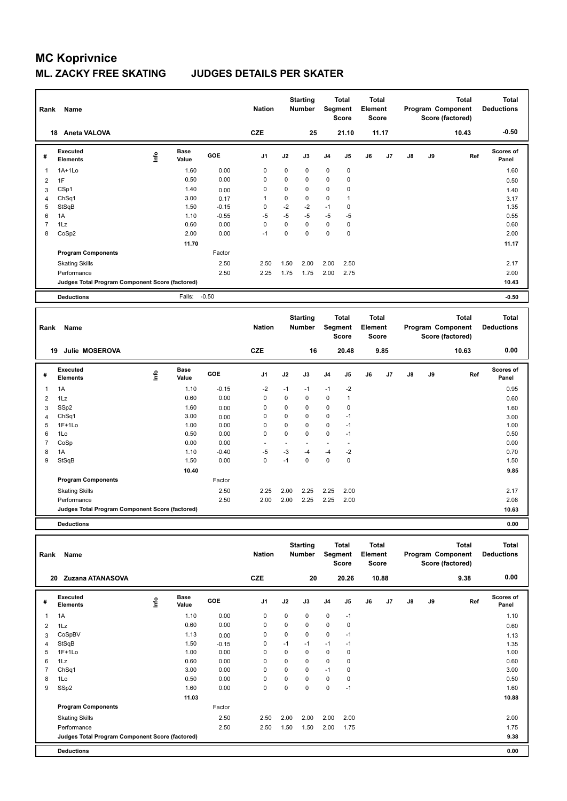| Rank           | Name                                            |       |                      |         | <b>Nation</b>  |           | <b>Starting</b><br><b>Number</b> |                | <b>Total</b><br>Segment<br><b>Score</b> | <b>Total</b><br>Element<br><b>Score</b> |       |    |    | <b>Total</b><br>Program Component<br>Score (factored) | <b>Total</b><br><b>Deductions</b> |
|----------------|-------------------------------------------------|-------|----------------------|---------|----------------|-----------|----------------------------------|----------------|-----------------------------------------|-----------------------------------------|-------|----|----|-------------------------------------------------------|-----------------------------------|
|                | 18 Aneta VALOVA                                 |       |                      |         | <b>CZE</b>     |           | 25                               |                | 21.10                                   |                                         | 11.17 |    |    | 10.43                                                 | $-0.50$                           |
| #              | Executed<br><b>Elements</b>                     | Linfo | <b>Base</b><br>Value | GOE     | J1             | J2        | J3                               | J4             | J <sub>5</sub>                          | J6                                      | J7    | J8 | J9 | Ref                                                   | Scores of<br>Panel                |
| 1              | 1A+1Lo                                          |       | 1.60                 | 0.00    | 0              | 0         | $\mathbf 0$                      | 0              | $\pmb{0}$                               |                                         |       |    |    |                                                       | 1.60                              |
| $\overline{2}$ | 1F                                              |       | 0.50                 | 0.00    | 0              | 0         | $\mathbf 0$                      | 0              | 0                                       |                                         |       |    |    |                                                       | 0.50                              |
| 3              | CSp1                                            |       | 1.40                 | 0.00    | 0              | 0         | 0                                | 0              | 0                                       |                                         |       |    |    |                                                       | 1.40                              |
| 4              | Ch <sub>Sq1</sub>                               |       | 3.00                 | 0.17    | $\mathbf{1}$   | 0         | $\mathbf 0$                      | 0              | $\mathbf{1}$                            |                                         |       |    |    |                                                       | 3.17                              |
| 5              | StSqB                                           |       | 1.50                 | $-0.15$ | 0              | $-2$      | $-2$                             | $-1$           | $\mathbf 0$                             |                                         |       |    |    |                                                       | 1.35                              |
| 6              | 1A                                              |       | 1.10                 | $-0.55$ | $-5$           | $-5$      | -5                               | $-5$           | $-5$                                    |                                         |       |    |    |                                                       | 0.55                              |
| $\overline{7}$ | 1Lz                                             |       | 0.60                 | 0.00    | 0              | 0         | $\mathbf 0$                      | 0              | $\pmb{0}$                               |                                         |       |    |    |                                                       | 0.60                              |
| 8              | CoSp2                                           |       | 2.00                 | 0.00    | $-1$           | 0         | $\mathbf 0$                      | $\mathbf 0$    | $\mathbf 0$                             |                                         |       |    |    |                                                       | 2.00                              |
|                |                                                 |       | 11.70                |         |                |           |                                  |                |                                         |                                         |       |    |    |                                                       | 11.17                             |
|                | <b>Program Components</b>                       |       |                      | Factor  |                |           |                                  |                |                                         |                                         |       |    |    |                                                       |                                   |
|                | <b>Skating Skills</b>                           |       |                      | 2.50    | 2.50           | 1.50      | 2.00                             | 2.00           | 2.50                                    |                                         |       |    |    |                                                       | 2.17                              |
|                | Performance                                     |       |                      | 2.50    | 2.25           | 1.75      | 1.75                             | 2.00           | 2.75                                    |                                         |       |    |    |                                                       | 2.00                              |
|                | Judges Total Program Component Score (factored) |       |                      |         |                |           |                                  |                |                                         |                                         |       |    |    |                                                       | 10.43                             |
|                | <b>Deductions</b>                               |       | Falls:               | $-0.50$ |                |           |                                  |                |                                         |                                         |       |    |    |                                                       | $-0.50$                           |
| Rank           | Name                                            |       |                      |         | <b>Nation</b>  |           | <b>Starting</b><br><b>Number</b> |                | <b>Total</b><br>Segment                 | <b>Total</b><br>Element                 |       |    |    | <b>Total</b>                                          | <b>Total</b>                      |
|                |                                                 |       |                      |         |                |           |                                  |                | <b>Score</b>                            | <b>Score</b>                            |       |    |    | Program Component<br>Score (factored)                 | <b>Deductions</b>                 |
|                | Julie MOSEROVA<br>19                            |       |                      |         | <b>CZE</b>     |           | 16                               |                | 20.48                                   |                                         | 9.85  |    |    | 10.63                                                 | 0.00                              |
| #              | Executed<br><b>Elements</b>                     | ١nf٥  | <b>Base</b><br>Value | GOE     | J <sub>1</sub> | J2        | J3                               | J4             | J5                                      | J6                                      | J7    | J8 | J9 | Ref                                                   | Scores of<br>Panel                |
| 1              | 1A                                              |       | 1.10                 | $-0.15$ | $-2$           | $-1$      | $-1$                             | $-1$           | $-2$                                    |                                         |       |    |    |                                                       | 0.95                              |
| $\overline{2}$ | 1Lz                                             |       | 0.60                 | 0.00    | 0              | $\pmb{0}$ | 0                                | $\pmb{0}$      | $\mathbf{1}$                            |                                         |       |    |    |                                                       | 0.60                              |
| 3              | SSp2                                            |       | 1.60                 | 0.00    | 0              | 0         | $\mathbf 0$                      | $\mathbf 0$    | 0                                       |                                         |       |    |    |                                                       | 1.60                              |
| 4              | Ch <sub>Sq1</sub>                               |       | 3.00                 | 0.00    | 0              | 0         | 0                                | 0              | $-1$                                    |                                         |       |    |    |                                                       | 3.00                              |
| 5              | $1F+1Lo$                                        |       | 1.00                 | 0.00    | 0              | 0         | 0                                | 0              | $-1$                                    |                                         |       |    |    |                                                       | 1.00                              |
| 6              | 1Lo                                             |       | 0.50                 | 0.00    | 0              | 0         | $\mathbf 0$                      | $\mathbf 0$    | $-1$                                    |                                         |       |    |    |                                                       | 0.50                              |
| $\overline{7}$ | CoSp                                            |       | 0.00                 | 0.00    | ÷.             | ÷         | L.                               | $\overline{a}$ | ÷.                                      |                                         |       |    |    |                                                       | 0.00                              |
| 8              | 1A                                              |       | 1.10                 | $-0.40$ | $-5$           | $-3$      | -4                               | $-4$           | $-2$                                    |                                         |       |    |    |                                                       | 0.70                              |
| 9              | StSqB                                           |       | 1.50                 | 0.00    | $\Omega$       | $-1$      | $\Omega$                         | $\mathbf 0$    | $\mathbf 0$                             |                                         |       |    |    |                                                       | 1.50                              |
|                |                                                 |       | 10.40                |         |                |           |                                  |                |                                         |                                         |       |    |    |                                                       | 9.85                              |
|                | <b>Program Components</b>                       |       |                      | Factor  |                |           |                                  |                |                                         |                                         |       |    |    |                                                       |                                   |
|                | <b>Skating Skills</b>                           |       |                      | 2.50    | 2.25           | 2.00      | 2.25                             | 2.25           | 2.00                                    |                                         |       |    |    |                                                       | 2.17                              |
|                | Performance                                     |       |                      | 2.50    | 2.00           | 2.00      | 2.25                             | 2.25           | 2.00                                    |                                         |       |    |    |                                                       | 2.08                              |
|                | Judges Total Program Component Score (factored) |       |                      |         |                |           |                                  |                |                                         |                                         |       |    |    |                                                       | 10.63                             |

| Rank           | Name                                            |      |                      |         | <b>Nation</b>  |             | <b>Starting</b><br>Number | Segment        | <b>Total</b><br><b>Score</b> | <b>Total</b><br>Element<br><b>Score</b> |       |               |    | <b>Total</b><br>Program Component<br>Score (factored) | <b>Total</b><br><b>Deductions</b> |
|----------------|-------------------------------------------------|------|----------------------|---------|----------------|-------------|---------------------------|----------------|------------------------------|-----------------------------------------|-------|---------------|----|-------------------------------------------------------|-----------------------------------|
|                | Zuzana ATANASOVA<br>20                          |      |                      |         | <b>CZE</b>     |             | 20                        |                | 20.26                        |                                         | 10.88 |               |    | 9.38                                                  | 0.00                              |
| #              | Executed<br><b>Elements</b>                     | lnfo | <b>Base</b><br>Value | GOE     | J <sub>1</sub> | J2          | J3                        | J <sub>4</sub> | J5                           | J6                                      | J7    | $\mathsf{J}8$ | J9 | Ref                                                   | <b>Scores of</b><br>Panel         |
| 1              | 1A                                              |      | 1.10                 | 0.00    | $\mathbf 0$    | $\mathbf 0$ | $\mathbf 0$               | $\mathbf 0$    | $-1$                         |                                         |       |               |    |                                                       | 1.10                              |
| 2              | 1Lz                                             |      | 0.60                 | 0.00    | 0              | 0           | 0                         | 0              | $\mathbf 0$                  |                                         |       |               |    |                                                       | 0.60                              |
| 3              | CoSpBV                                          |      | 1.13                 | 0.00    | 0              | 0           | 0                         | $\pmb{0}$      | $-1$                         |                                         |       |               |    |                                                       | 1.13                              |
| 4              | StSqB                                           |      | 1.50                 | $-0.15$ | 0              | $-1$        | $-1$                      | $-1$           | $-1$                         |                                         |       |               |    |                                                       | 1.35                              |
| 5              | $1F+1Lo$                                        |      | 1.00                 | 0.00    | 0              | 0           | $\Omega$                  | $\mathbf 0$    | 0                            |                                         |       |               |    |                                                       | 1.00                              |
| 6              | 1Lz                                             |      | 0.60                 | 0.00    | 0              | 0           | 0                         | $\mathbf 0$    | 0                            |                                         |       |               |    |                                                       | 0.60                              |
| $\overline{7}$ | ChSq1                                           |      | 3.00                 | 0.00    | 0              | 0           | 0                         | $-1$           | 0                            |                                         |       |               |    |                                                       | 3.00                              |
| 8              | 1Lo                                             |      | 0.50                 | 0.00    | 0              | 0           | $\Omega$                  | $\mathbf 0$    | 0                            |                                         |       |               |    |                                                       | 0.50                              |
| 9              | SSp2                                            |      | 1.60                 | 0.00    | 0              | 0           | $\Omega$                  | 0              | $-1$                         |                                         |       |               |    |                                                       | 1.60                              |
|                |                                                 |      | 11.03                |         |                |             |                           |                |                              |                                         |       |               |    |                                                       | 10.88                             |
|                | <b>Program Components</b>                       |      |                      | Factor  |                |             |                           |                |                              |                                         |       |               |    |                                                       |                                   |
|                | <b>Skating Skills</b>                           |      |                      | 2.50    | 2.50           | 2.00        | 2.00                      | 2.00           | 2.00                         |                                         |       |               |    |                                                       | 2.00                              |
|                | Performance                                     |      |                      | 2.50    | 2.50           | 1.50        | 1.50                      | 2.00           | 1.75                         |                                         |       |               |    |                                                       | 1.75                              |
|                | Judges Total Program Component Score (factored) |      |                      |         |                |             |                           |                |                              |                                         |       |               |    |                                                       | 9.38                              |
|                | <b>Deductions</b>                               |      |                      |         |                |             |                           |                |                              |                                         |       |               |    |                                                       | 0.00                              |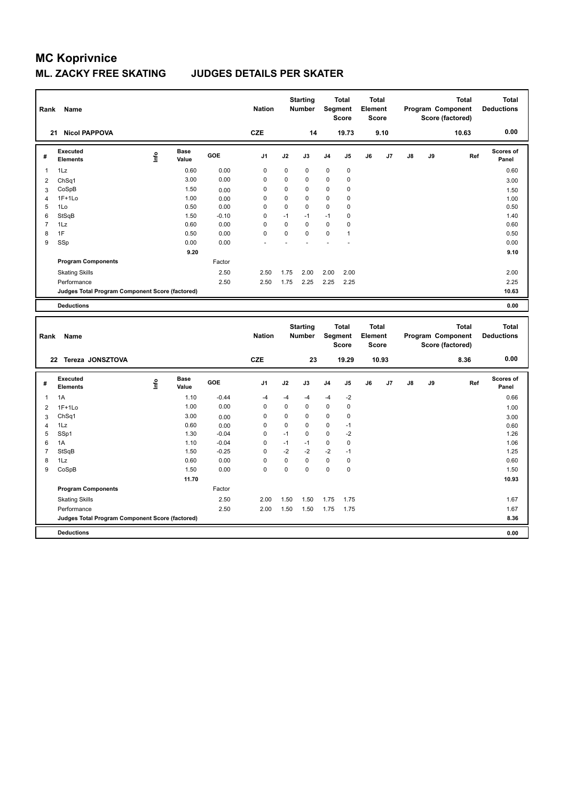### **ML. ZACKY FREE SKATING JUDGES DETAILS PER SKATER**

| Rank           | Name                                            |      |                      |              | <b>Nation</b>  |             | <b>Starting</b><br>Number |             | <b>Total</b><br>Segment<br><b>Score</b> | Element | <b>Total</b><br><b>Score</b> |               |    | <b>Total</b><br>Program Component<br>Score (factored) | <b>Total</b><br><b>Deductions</b> |
|----------------|-------------------------------------------------|------|----------------------|--------------|----------------|-------------|---------------------------|-------------|-----------------------------------------|---------|------------------------------|---------------|----|-------------------------------------------------------|-----------------------------------|
|                | 21 Nicol PAPPOVA                                |      |                      |              | <b>CZE</b>     |             | 14                        |             | 19.73                                   |         | 9.10                         |               |    | 10.63                                                 | 0.00                              |
| #              | <b>Executed</b><br><b>Elements</b>              | lnfo | <b>Base</b><br>Value | GOE          | J <sub>1</sub> | J2          | J3                        | J4          | J5                                      | J6      | J7                           | J8            | J9 | Ref                                                   | <b>Scores of</b><br>Panel         |
| $\mathbf{1}$   | 1Lz                                             |      | 0.60                 | 0.00         | $\mathbf 0$    | $\mathbf 0$ | $\mathbf 0$               | $\mathbf 0$ | $\mathbf 0$                             |         |                              |               |    |                                                       | 0.60                              |
| $\overline{2}$ | ChSq1                                           |      | 3.00                 | 0.00         | 0              | 0           | $\mathbf 0$               | 0           | $\pmb{0}$                               |         |                              |               |    |                                                       | 3.00                              |
| 3              | CoSpB                                           |      | 1.50                 | 0.00         | 0              | $\mathbf 0$ | $\mathbf 0$               | 0           | 0                                       |         |                              |               |    |                                                       | 1.50                              |
| $\overline{4}$ | $1F+1Lo$                                        |      | 1.00                 | 0.00         | $\mathbf 0$    | 0           | $\mathbf 0$               | $\mathbf 0$ | 0                                       |         |                              |               |    |                                                       | 1.00                              |
| 5              | 1Lo                                             |      | 0.50                 | 0.00         | $\mathbf 0$    | $\mathbf 0$ | $\mathbf 0$               | $\mathbf 0$ | 0                                       |         |                              |               |    |                                                       | 0.50                              |
| 6              | StSqB                                           |      | 1.50                 | $-0.10$      | 0              | $-1$        | $-1$                      | $-1$        | 0                                       |         |                              |               |    |                                                       | 1.40                              |
| $\overline{7}$ | 1Lz                                             |      | 0.60                 | 0.00         | $\mathbf 0$    | 0           | $\mathbf 0$               | $\mathbf 0$ | 0                                       |         |                              |               |    |                                                       | 0.60                              |
| 8<br>9         | 1F                                              |      | 0.50                 | 0.00<br>0.00 | $\mathbf 0$    | 0           | $\mathbf 0$               | 0           | 1                                       |         |                              |               |    |                                                       | 0.50                              |
|                | SSp                                             |      | 0.00                 |              |                |             |                           |             |                                         |         |                              |               |    |                                                       | 0.00                              |
|                |                                                 |      | 9.20                 |              |                |             |                           |             |                                         |         |                              |               |    |                                                       | 9.10                              |
|                | <b>Program Components</b>                       |      |                      | Factor       |                |             |                           |             |                                         |         |                              |               |    |                                                       |                                   |
|                | <b>Skating Skills</b>                           |      |                      | 2.50         | 2.50           | 1.75        | 2.00                      | 2.00        | 2.00                                    |         |                              |               |    |                                                       | 2.00                              |
|                | Performance                                     |      |                      | 2.50         | 2.50           | 1.75        | 2.25                      | 2.25        | 2.25                                    |         |                              |               |    |                                                       | 2.25                              |
|                | Judges Total Program Component Score (factored) |      |                      |              |                |             |                           |             |                                         |         |                              |               |    |                                                       | 10.63                             |
|                | <b>Deductions</b>                               |      |                      |              |                |             |                           |             |                                         |         |                              |               |    |                                                       | 0.00                              |
| Rank           | Name                                            |      |                      |              | <b>Nation</b>  |             | <b>Starting</b><br>Number |             | <b>Total</b><br>Segment<br><b>Score</b> | Element | <b>Total</b><br><b>Score</b> |               |    | <b>Total</b><br>Program Component<br>Score (factored) | <b>Total</b><br><b>Deductions</b> |
|                | 22 Tereza JONSZTOVA                             |      |                      |              | <b>CZE</b>     |             | 23                        |             | 19.29                                   |         | 10.93                        |               |    | 8.36                                                  | 0.00                              |
| #              | <b>Executed</b><br>Elements                     | Life | Base<br>Value        | GOE          | J <sub>1</sub> | J2          | J3                        | J4          | J5                                      | J6      | J7                           | $\mathsf{J}8$ | J9 | Ref                                                   | <b>Scores of</b><br>Panel         |
| $\mathbf{1}$   | 1A                                              |      | 1.10                 | $-0.44$      | $-4$           | $-4$        | -4                        | $-4$        | $-2$                                    |         |                              |               |    |                                                       | 0.66                              |
| $\overline{2}$ | $1F+1Lo$                                        |      | 1.00                 | 0.00         | 0              | $\pmb{0}$   | 0                         | 0           | 0                                       |         |                              |               |    |                                                       | 1.00                              |
| 3              | Ch <sub>Sq1</sub>                               |      | 3.00                 | 0.00         | 0              | 0           | $\mathbf 0$               | 0           | 0                                       |         |                              |               |    |                                                       | 3.00                              |
| $\overline{4}$ | 1Lz                                             |      | 0.60                 | 0.00         | $\mathbf 0$    | 0           | $\mathbf 0$               | 0           | $-1$                                    |         |                              |               |    |                                                       | 0.60                              |
| 5              |                                                 |      |                      |              |                |             |                           |             |                                         |         |                              |               |    |                                                       |                                   |
| 6              | SSp1                                            |      | 1.30                 | $-0.04$      | $\mathbf 0$    | $-1$        | $\mathbf 0$               | $\mathbf 0$ | $-2$                                    |         |                              |               |    |                                                       | 1.26                              |
|                | 1A                                              |      | 1.10                 | $-0.04$      | $\mathbf 0$    | $-1$        | $-1$                      | 0           | 0                                       |         |                              |               |    |                                                       | 1.06                              |
| $\overline{7}$ | StSqB                                           |      | 1.50                 | $-0.25$      | $\mathbf 0$    | $-2$        | $-2$                      | $-2$        | $-1$                                    |         |                              |               |    |                                                       | 1.25                              |
| 8              | 1Lz                                             |      | 0.60                 | 0.00         | $\mathbf 0$    | 0           | $\mathbf 0$               | 0           | $\pmb{0}$                               |         |                              |               |    |                                                       | 0.60                              |
| 9              | CoSpB                                           |      | 1.50                 | 0.00         | $\mathbf 0$    | 0           | $\mathbf 0$               | $\mathbf 0$ | 0                                       |         |                              |               |    |                                                       | 1.50                              |
|                |                                                 |      | 11.70                |              |                |             |                           |             |                                         |         |                              |               |    |                                                       | 10.93                             |
|                | <b>Program Components</b>                       |      |                      | Factor       |                |             |                           |             |                                         |         |                              |               |    |                                                       |                                   |
|                | <b>Skating Skills</b>                           |      |                      | 2.50         | 2.00           | 1.50        | 1.50                      | 1.75        | 1.75                                    |         |                              |               |    |                                                       | 1.67                              |
|                | Performance                                     |      |                      | 2.50         | 2.00           | 1.50        | 1.50                      | 1.75        | 1.75                                    |         |                              |               |    |                                                       | 1.67                              |
|                | Judges Total Program Component Score (factored) |      |                      |              |                |             |                           |             |                                         |         |                              |               |    |                                                       | 8.36                              |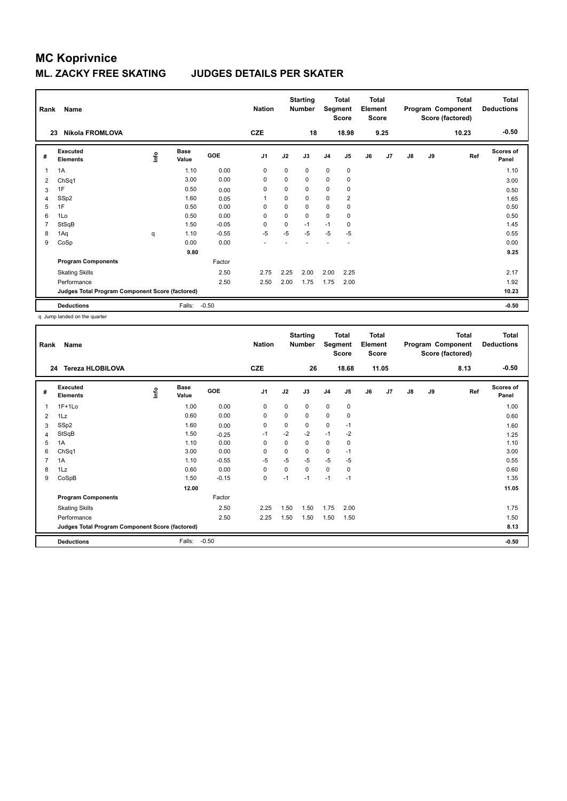| Rank           | Name<br><b>Nikola FROMLOVA</b><br>23            |      |                      |            | <b>Nation</b><br><b>CZE</b> |             | <b>Starting</b><br><b>Number</b><br>18 | Segment        | Total<br><b>Score</b><br>18.98 | <b>Total</b><br>Element<br><b>Score</b> | 9.25 |               |    | <b>Total</b><br>Program Component<br>Score (factored)<br>10.23 | <b>Total</b><br><b>Deductions</b><br>$-0.50$ |
|----------------|-------------------------------------------------|------|----------------------|------------|-----------------------------|-------------|----------------------------------------|----------------|--------------------------------|-----------------------------------------|------|---------------|----|----------------------------------------------------------------|----------------------------------------------|
| #              | Executed<br><b>Elements</b>                     | ١nf٥ | <b>Base</b><br>Value | <b>GOE</b> | J <sub>1</sub>              | J2          | J3                                     | J <sub>4</sub> | J <sub>5</sub>                 | J6                                      | J7   | $\mathsf{J}8$ | J9 | Ref                                                            | <b>Scores of</b><br>Panel                    |
| 1              | 1A                                              |      | 1.10                 | 0.00       | $\Omega$                    | $\Omega$    | $\Omega$                               | $\mathbf 0$    | $\pmb{0}$                      |                                         |      |               |    |                                                                | 1.10                                         |
| 2              | ChSq1                                           |      | 3.00                 | 0.00       | 0                           | 0           | 0                                      | 0              | 0                              |                                         |      |               |    |                                                                | 3.00                                         |
| 3              | 1F                                              |      | 0.50                 | 0.00       | 0                           | 0           | 0                                      | 0              | 0                              |                                         |      |               |    |                                                                | 0.50                                         |
| $\overline{4}$ | SSp2                                            |      | 1.60                 | 0.05       | 1                           | $\mathbf 0$ | $\Omega$                               | 0              | $\overline{2}$                 |                                         |      |               |    |                                                                | 1.65                                         |
| 5              | 1F                                              |      | 0.50                 | 0.00       | 0                           | 0           | 0                                      | 0              | 0                              |                                         |      |               |    |                                                                | 0.50                                         |
| 6              | 1Lo                                             |      | 0.50                 | 0.00       | 0                           | 0           | 0                                      | 0              | 0                              |                                         |      |               |    |                                                                | 0.50                                         |
| 7              | StSqB                                           |      | 1.50                 | $-0.05$    | $\Omega$                    | 0           | $-1$                                   | $-1$           | 0                              |                                         |      |               |    |                                                                | 1.45                                         |
| 8              | 1Aq                                             | q    | 1.10                 | $-0.55$    | $-5$                        | $-5$        | $-5$                                   | $-5$           | $-5$                           |                                         |      |               |    |                                                                | 0.55                                         |
| 9              | CoSp                                            |      | 0.00                 | 0.00       |                             |             |                                        |                | ٠                              |                                         |      |               |    |                                                                | 0.00                                         |
|                |                                                 |      | 9.80                 |            |                             |             |                                        |                |                                |                                         |      |               |    |                                                                | 9.25                                         |
|                | <b>Program Components</b>                       |      |                      | Factor     |                             |             |                                        |                |                                |                                         |      |               |    |                                                                |                                              |
|                | <b>Skating Skills</b>                           |      |                      | 2.50       | 2.75                        | 2.25        | 2.00                                   | 2.00           | 2.25                           |                                         |      |               |    |                                                                | 2.17                                         |
|                | Performance                                     |      |                      | 2.50       | 2.50                        | 2.00        | 1.75                                   | 1.75           | 2.00                           |                                         |      |               |    |                                                                | 1.92                                         |
|                | Judges Total Program Component Score (factored) |      |                      |            |                             |             |                                        |                |                                |                                         |      |               |    |                                                                | 10.23                                        |
|                | <b>Deductions</b>                               |      | Falls:               | $-0.50$    |                             |             |                                        |                |                                |                                         |      |               |    |                                                                | $-0.50$                                      |

q Jump landed on the quarter

| Rank           | Name                                            |    |                      |         | <b>Nation</b>  |             | <b>Starting</b><br><b>Number</b> | Segment        | <b>Total</b><br><b>Score</b> | <b>Total</b><br>Element<br><b>Score</b> |       |               |    | <b>Total</b><br>Program Component<br>Score (factored) | <b>Total</b><br><b>Deductions</b> |
|----------------|-------------------------------------------------|----|----------------------|---------|----------------|-------------|----------------------------------|----------------|------------------------------|-----------------------------------------|-------|---------------|----|-------------------------------------------------------|-----------------------------------|
|                | <b>Tereza HLOBILOVA</b><br>24                   |    |                      |         | <b>CZE</b>     |             | 26                               |                | 18.68                        |                                         | 11.05 |               |    | 8.13                                                  | $-0.50$                           |
| #              | Executed<br><b>Elements</b>                     | ۴ů | <b>Base</b><br>Value | GOE     | J <sub>1</sub> | J2          | J3                               | J <sub>4</sub> | J5                           | J6                                      | J7    | $\mathsf{J}8$ | J9 | Ref                                                   | <b>Scores of</b><br>Panel         |
| 1              | $1F+1Lo$                                        |    | 1.00                 | 0.00    | 0              | 0           | 0                                | $\mathbf 0$    | $\mathbf 0$                  |                                         |       |               |    |                                                       | 1.00                              |
| 2              | 1Lz                                             |    | 0.60                 | 0.00    | 0              | 0           | 0                                | $\mathbf 0$    | 0                            |                                         |       |               |    |                                                       | 0.60                              |
| 3              | SSp2                                            |    | 1.60                 | 0.00    | $\mathbf 0$    | $\mathbf 0$ | 0                                | $\mathbf 0$    | $-1$                         |                                         |       |               |    |                                                       | 1.60                              |
| 4              | StSqB                                           |    | 1.50                 | $-0.25$ | $-1$           | $-2$        | $-2$                             | $-1$           | $-2$                         |                                         |       |               |    |                                                       | 1.25                              |
| 5              | 1A                                              |    | 1.10                 | 0.00    | 0              | 0           | 0                                | $\mathbf 0$    | 0                            |                                         |       |               |    |                                                       | 1.10                              |
| 6              | ChSq1                                           |    | 3.00                 | 0.00    | 0              | 0           | 0                                | $\mathbf 0$    | $-1$                         |                                         |       |               |    |                                                       | 3.00                              |
| $\overline{7}$ | 1A                                              |    | 1.10                 | $-0.55$ | -5             | $-5$        | $-5$                             | $-5$           | -5                           |                                         |       |               |    |                                                       | 0.55                              |
| 8              | 1Lz                                             |    | 0.60                 | 0.00    | $\mathbf 0$    | 0           | 0                                | $\mathbf 0$    | 0                            |                                         |       |               |    |                                                       | 0.60                              |
| 9              | CoSpB                                           |    | 1.50                 | $-0.15$ | $\mathbf 0$    | $-1$        | $-1$                             | $-1$           | $-1$                         |                                         |       |               |    |                                                       | 1.35                              |
|                |                                                 |    | 12.00                |         |                |             |                                  |                |                              |                                         |       |               |    |                                                       | 11.05                             |
|                | <b>Program Components</b>                       |    |                      | Factor  |                |             |                                  |                |                              |                                         |       |               |    |                                                       |                                   |
|                | <b>Skating Skills</b>                           |    |                      | 2.50    | 2.25           | 1.50        | 1.50                             | 1.75           | 2.00                         |                                         |       |               |    |                                                       | 1.75                              |
|                | Performance                                     |    |                      | 2.50    | 2.25           | 1.50        | 1.50                             | 1.50           | 1.50                         |                                         |       |               |    |                                                       | 1.50                              |
|                | Judges Total Program Component Score (factored) |    |                      |         |                |             |                                  |                |                              |                                         |       |               |    |                                                       | 8.13                              |
|                | <b>Deductions</b>                               |    | Falls:               | $-0.50$ |                |             |                                  |                |                              |                                         |       |               |    |                                                       | $-0.50$                           |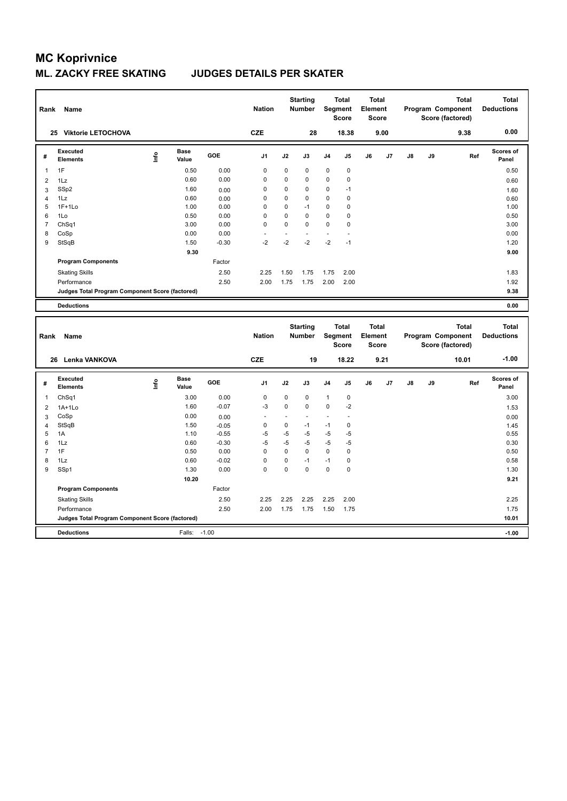| Rank                | Name                                            |             |                      |         | <b>Nation</b>  |                | <b>Starting</b><br>Number |              | <b>Total</b><br>Segment<br><b>Score</b> | <b>Total</b><br>Element | <b>Score</b> |               |    | <b>Total</b><br>Program Component<br>Score (factored) | <b>Total</b><br><b>Deductions</b> |
|---------------------|-------------------------------------------------|-------------|----------------------|---------|----------------|----------------|---------------------------|--------------|-----------------------------------------|-------------------------|--------------|---------------|----|-------------------------------------------------------|-----------------------------------|
|                     | 25 Viktorie LETOCHOVA                           |             |                      |         | <b>CZE</b>     |                | 28                        |              | 18.38                                   |                         | 9.00         |               |    | 9.38                                                  | 0.00                              |
| #                   | <b>Executed</b><br><b>Elements</b>              | <u>lnfo</u> | <b>Base</b><br>Value | GOE     | J1             | J2             | J3                        | J4           | J5                                      | J6                      | J7           | J8            | J9 | Ref                                                   | Scores of<br>Panel                |
| 1                   | 1F                                              |             | 0.50                 | 0.00    | 0              | 0              | $\mathbf 0$               | $\mathbf 0$  | $\pmb{0}$                               |                         |              |               |    |                                                       | 0.50                              |
| $\overline{2}$      | 1Lz                                             |             | 0.60                 | 0.00    | $\mathbf 0$    | 0              | $\mathbf 0$               | $\mathbf 0$  | $\pmb{0}$                               |                         |              |               |    |                                                       | 0.60                              |
| 3                   | SSp2                                            |             | 1.60                 | 0.00    | 0              | 0              | $\mathbf 0$               | $\mathbf 0$  | $-1$                                    |                         |              |               |    |                                                       | 1.60                              |
| $\overline{4}$      | 1Lz                                             |             | 0.60                 | 0.00    | $\mathbf 0$    | 0              | $\mathbf 0$               | $\mathbf 0$  | 0                                       |                         |              |               |    |                                                       | 0.60                              |
| 5                   | $1F+1Lo$                                        |             | 1.00                 | 0.00    | $\mathbf 0$    | 0              | $-1$                      | $\mathbf 0$  | 0                                       |                         |              |               |    |                                                       | 1.00                              |
| 6                   | 1Lo                                             |             | 0.50                 | 0.00    | $\mathbf 0$    | 0              | $\mathbf 0$               | $\mathbf 0$  | 0                                       |                         |              |               |    |                                                       | 0.50                              |
| $\overline{7}$      | ChSq1                                           |             | 3.00                 | 0.00    | $\mathbf 0$    | 0              | $\mathbf 0$               | $\mathbf 0$  | 0                                       |                         |              |               |    |                                                       | 3.00                              |
| 8                   | CoSp                                            |             | 0.00                 | 0.00    |                | ÷.             |                           | ÷.           | ä,                                      |                         |              |               |    |                                                       | 0.00                              |
| 9                   | StSqB                                           |             | 1.50                 | $-0.30$ | $-2$           | $-2$           | $-2$                      | $-2$         | $-1$                                    |                         |              |               |    |                                                       | 1.20                              |
|                     |                                                 |             | 9.30                 |         |                |                |                           |              |                                         |                         |              |               |    |                                                       | 9.00                              |
|                     | <b>Program Components</b>                       |             |                      | Factor  |                |                |                           |              |                                         |                         |              |               |    |                                                       |                                   |
|                     | <b>Skating Skills</b>                           |             |                      | 2.50    | 2.25           | 1.50           | 1.75                      | 1.75         | 2.00                                    |                         |              |               |    |                                                       | 1.83                              |
|                     | Performance                                     |             |                      | 2.50    | 2.00           | 1.75           | 1.75                      | 2.00         | 2.00                                    |                         |              |               |    |                                                       | 1.92                              |
|                     | Judges Total Program Component Score (factored) |             |                      |         |                |                |                           |              |                                         |                         |              |               |    |                                                       | 9.38                              |
|                     | <b>Deductions</b>                               |             |                      |         |                |                |                           |              |                                         |                         |              |               |    |                                                       | 0.00                              |
|                     |                                                 |             |                      |         |                |                |                           |              |                                         |                         |              |               |    |                                                       |                                   |
| Rank                | Name                                            |             |                      |         | <b>Nation</b>  |                | <b>Starting</b><br>Number |              | <b>Total</b><br>Segment<br><b>Score</b> | <b>Total</b><br>Element | <b>Score</b> |               |    | <b>Total</b><br>Program Component<br>Score (factored) | <b>Total</b><br><b>Deductions</b> |
|                     | Lenka VANKOVA<br>26                             |             |                      |         | <b>CZE</b>     |                | 19                        |              | 18.22                                   |                         | 9.21         |               |    | 10.01                                                 | $-1.00$                           |
| #                   | <b>Executed</b><br><b>Elements</b>              | Life        | Base<br>Value        | GOE     | J <sub>1</sub> | J2             | J3                        | J4           | J5                                      | J6                      | J7           | $\mathsf{J}8$ | J9 | Ref                                                   | Scores of<br>Panel                |
| $\mathbf{1}$        | Ch <sub>Sq1</sub>                               |             | 3.00                 | 0.00    | $\mathbf 0$    | 0              | $\mathbf 0$               | $\mathbf{1}$ | $\pmb{0}$                               |                         |              |               |    |                                                       | 3.00                              |
|                     |                                                 |             | 1.60                 | $-0.07$ | -3             | 0              | $\mathbf 0$               | $\mathbf 0$  | $-2$                                    |                         |              |               |    |                                                       |                                   |
| $\overline{2}$<br>3 | $1A+1Lo$<br>CoSp                                |             | 0.00                 | 0.00    |                | ä,             |                           | $\sim$       | ä,                                      |                         |              |               |    |                                                       | 1.53<br>0.00                      |
| $\overline{4}$      | StSqB                                           |             | 1.50                 | $-0.05$ | 0              | 0              | $-1$                      | $-1$         | 0                                       |                         |              |               |    |                                                       | 1.45                              |
| 5                   | 1A                                              |             | 1.10                 | $-0.55$ | $-5$           | $-5$           | -5                        | $-5$         | $-5$                                    |                         |              |               |    |                                                       | 0.55                              |
| 6                   | 1Lz                                             |             | 0.60                 | $-0.30$ | $-5$           | -5             | -5                        | $-5$         | $-5$                                    |                         |              |               |    |                                                       | 0.30                              |
| 7                   | 1F                                              |             | 0.50                 | 0.00    | $\mathbf 0$    | 0              | $\mathbf 0$               | $\mathbf 0$  | $\mathbf 0$                             |                         |              |               |    |                                                       | 0.50                              |
| 8                   | 1Lz                                             |             | 0.60                 | $-0.02$ | $\mathbf 0$    | 0              | $-1$                      | $-1$         | $\pmb{0}$                               |                         |              |               |    |                                                       | 0.58                              |
| 9                   | SSp1                                            |             | 1.30                 | 0.00    | $\Omega$       | $\overline{0}$ | $\Omega$                  | $\mathbf 0$  | 0                                       |                         |              |               |    |                                                       | 1.30                              |
|                     |                                                 |             | 10.20                |         |                |                |                           |              |                                         |                         |              |               |    |                                                       | 9.21                              |
|                     | <b>Program Components</b>                       |             |                      | Factor  |                |                |                           |              |                                         |                         |              |               |    |                                                       |                                   |
|                     | <b>Skating Skills</b>                           |             |                      | 2.50    | 2.25           | 2.25           | 2.25                      | 2.25         | 2.00                                    |                         |              |               |    |                                                       | 2.25                              |
|                     | Performance                                     |             |                      | 2.50    | 2.00           | 1.75           | 1.75                      | 1.50         | 1.75                                    |                         |              |               |    |                                                       | 1.75                              |
|                     | Judges Total Program Component Score (factored) |             |                      |         |                |                |                           |              |                                         |                         |              |               |    |                                                       | 10.01                             |